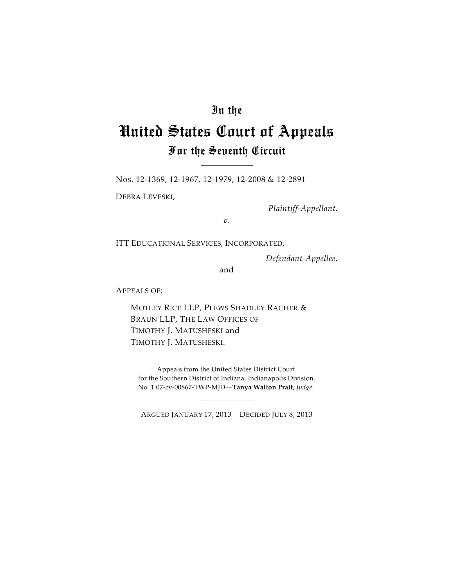## In the

# United States Court of Appeals For the Seventh Circuit

Nos. 12-1369, 12-1967, 12-1979, 12-2008 & 12-2891

DEBRA LEVESKI,

*Plaintiff-Appellant*,

*v.*

ITT EDUCATIONAL SERVICES, INCORPORATED,

*Defendant-Appellee,*

and

APPEALS OF:

MOTLEY RICE LLP, PLEWS SHADLEY RACHER & BRAUN LLP, THE LAW OFFICES OF TIMOTHY J. MATUSHESKI and TIMOTHY J. MATUSHESKI.

Appeals from the United States District Court for the Southern District of Indiana, Indianapolis Division. No. 1:07-cv-00867-TWP-MJD—**Tanya Walton Pratt**, *Judge.*

ARGUED JANUARY 17, 2013—DECIDED JULY 8, 2013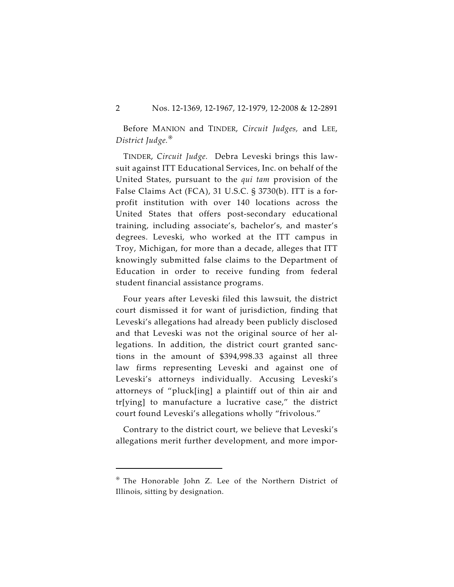Before MANION and TINDER, *Circuit Judges,* and LEE, *District Judge.*

TINDER, *Circuit Judge.* Debra Leveski brings this lawsuit against ITT Educational Services, Inc. on behalf of the United States, pursuant to the *qui tam* provision of the False Claims Act (FCA), 31 U.S.C. § 3730(b). ITT is a forprofit institution with over 140 locations across the United States that offers post-secondary educational training, including associate's, bachelor's, and master's degrees. Leveski, who worked at the ITT campus in Troy, Michigan, for more than a decade, alleges that ITT knowingly submitted false claims to the Department of Education in order to receive funding from federal student financial assistance programs.

Four years after Leveski filed this lawsuit, the district court dismissed it for want of jurisdiction, finding that Leveski's allegations had already been publicly disclosed and that Leveski was not the original source of her allegations. In addition, the district court granted sanctions in the amount of \$394,998.33 against all three law firms representing Leveski and against one of Leveski's attorneys individually. Accusing Leveski's attorneys of "pluck[ing] a plaintiff out of thin air and tr[ying] to manufacture a lucrative case," the district court found Leveski's allegations wholly "frivolous."

Contrary to the district court, we believe that Leveski's allegations merit further development, and more impor-

The Honorable John Z. Lee of the Northern District of Illinois, sitting by designation.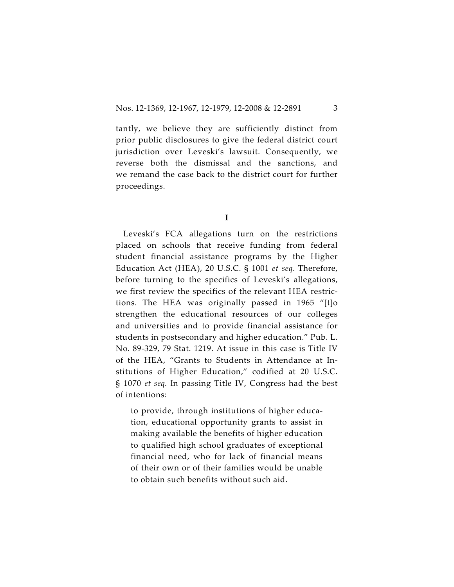tantly, we believe they are sufficiently distinct from prior public disclosures to give the federal district court jurisdiction over Leveski's lawsuit. Consequently, we reverse both the dismissal and the sanctions, and we remand the case back to the district court for further proceedings.

**I**

Leveski's FCA allegations turn on the restrictions placed on schools that receive funding from federal student financial assistance programs by the Higher Education Act (HEA), 20 U.S.C. § 1001 *et seq*. Therefore, before turning to the specifics of Leveski's allegations, we first review the specifics of the relevant HEA restrictions. The HEA was originally passed in 1965 "[t]o strengthen the educational resources of our colleges and universities and to provide financial assistance for students in postsecondary and higher education." Pub. L. No. 89-329, 79 Stat. 1219. At issue in this case is Title IV of the HEA, "Grants to Students in Attendance at Institutions of Higher Education," codified at 20 U.S.C. § 1070 *et seq.* In passing Title IV, Congress had the best of intentions:

to provide, through institutions of higher education, educational opportunity grants to assist in making available the benefits of higher education to qualified high school graduates of exceptional financial need, who for lack of financial means of their own or of their families would be unable to obtain such benefits without such aid.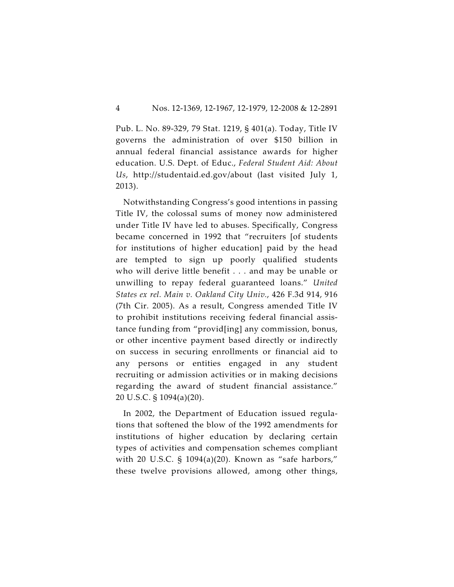Pub. L. No. 89-329, 79 Stat. 1219, § 401(a). Today, Title IV governs the administration of over \$150 billion in annual federal financial assistance awards for higher education. U.S. Dept. of Educ., *Federal Student Aid: About Us*, http://studentaid.ed.gov/about (last visited July 1, 2013).

Notwithstanding Congress's good intentions in passing Title IV, the colossal sums of money now administered under Title IV have led to abuses. Specifically, Congress became concerned in 1992 that "recruiters [of students for institutions of higher education] paid by the head are tempted to sign up poorly qualified students who will derive little benefit . . . and may be unable or unwilling to repay federal guaranteed loans." *United States ex rel. Main v. Oakland City Univ.*, 426 F.3d 914, 916 (7th Cir. 2005). As a result, Congress amended Title IV to prohibit institutions receiving federal financial assistance funding from "provid[ing] any commission, bonus, or other incentive payment based directly or indirectly on success in securing enrollments or financial aid to any persons or entities engaged in any student recruiting or admission activities or in making decisions regarding the award of student financial assistance." 20 U.S.C. § 1094(a)(20).

In 2002, the Department of Education issued regulations that softened the blow of the 1992 amendments for institutions of higher education by declaring certain types of activities and compensation schemes compliant with 20 U.S.C. § 1094(a)(20). Known as "safe harbors," these twelve provisions allowed, among other things,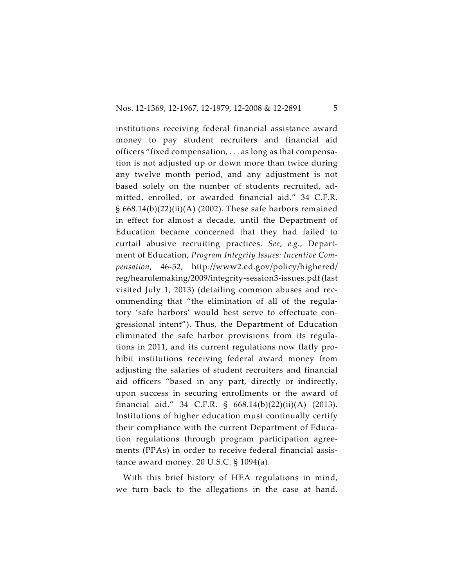institutions receiving federal financial assistance award money to pay student recruiters and financial aid officers "fixed compensation, . . . as long as that compensation is not adjusted up or down more than twice during any twelve month period, and any adjustment is not based solely on the number of students recruited, admitted, enrolled, or awarded financial aid." 34 C.F.R. § 668.14(b)(22)(ii)(A) (2002). These safe harbors remained in effect for almost a decade, until the Department of Education became concerned that they had failed to curtail abusive recruiting practices. *See, e.g.*, Department of Education, *Program Integrity Issues: Incentive Compensation*, 46-52, http://www2.ed.gov/policy/highered/ reg/hearulemaking/2009/integrity-session3-issues.pdf (last visited July 1, 2013) (detailing common abuses and recommending that "the elimination of all of the regulatory 'safe harbors' would best serve to effectuate congressional intent"). Thus, the Department of Education eliminated the safe harbor provisions from its regulations in 2011, and its current regulations now flatly prohibit institutions receiving federal award money from adjusting the salaries of student recruiters and financial aid officers "based in any part, directly or indirectly, upon success in securing enrollments or the award of financial aid." 34 C.F.R. § 668.14(b)(22)(ii)(A) (2013). Institutions of higher education must continually certify their compliance with the current Department of Education regulations through program participation agreements (PPAs) in order to receive federal financial assistance award money. 20 U.S.C. § 1094(a).

With this brief history of HEA regulations in mind, we turn back to the allegations in the case at hand.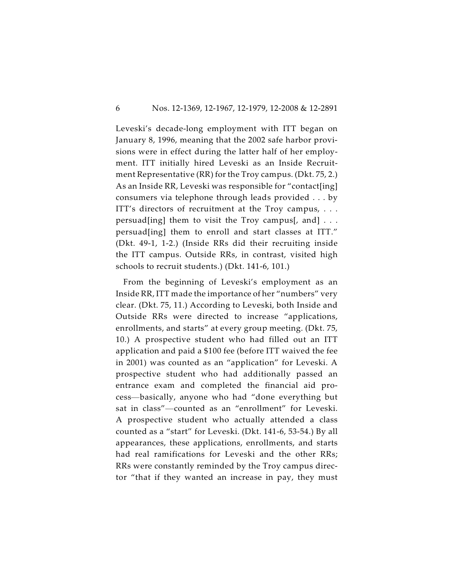Leveski's decade-long employment with ITT began on January 8, 1996, meaning that the 2002 safe harbor provisions were in effect during the latter half of her employment. ITT initially hired Leveski as an Inside Recruitment Representative (RR) for the Troy campus. (Dkt. 75, 2.) As an Inside RR, Leveski was responsible for "contact[ing] consumers via telephone through leads provided . . . by ITT's directors of recruitment at the Troy campus, . . . persuad[ing] them to visit the Troy campus[, and]  $\dots$ persuad[ing] them to enroll and start classes at ITT." (Dkt. 49-1, 1-2.) (Inside RRs did their recruiting inside the ITT campus. Outside RRs, in contrast, visited high schools to recruit students.) (Dkt. 141-6, 101.)

From the beginning of Leveski's employment as an Inside RR, ITT made the importance of her "numbers" very clear. (Dkt. 75, 11.) According to Leveski, both Inside and Outside RRs were directed to increase "applications, enrollments, and starts" at every group meeting. (Dkt. 75, 10.) A prospective student who had filled out an ITT application and paid a \$100 fee (before ITT waived the fee in 2001) was counted as an "application" for Leveski. A prospective student who had additionally passed an entrance exam and completed the financial aid process—basically, anyone who had "done everything but sat in class"—counted as an "enrollment" for Leveski. A prospective student who actually attended a class counted as a "start" for Leveski. (Dkt. 141-6, 53-54.) By all appearances, these applications, enrollments, and starts had real ramifications for Leveski and the other RRs; RRs were constantly reminded by the Troy campus director "that if they wanted an increase in pay, they must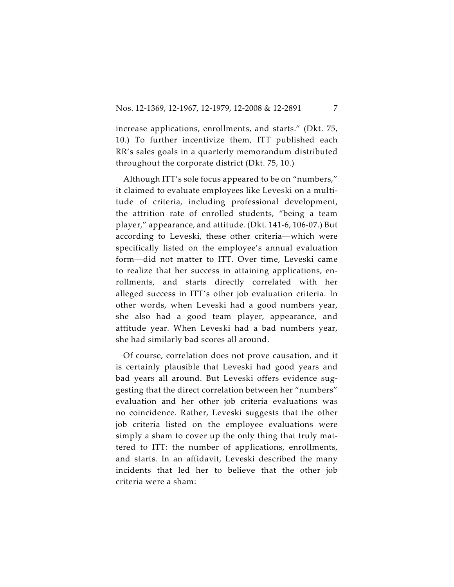increase applications, enrollments, and starts." (Dkt. 75, 10.) To further incentivize them, ITT published each RR's sales goals in a quarterly memorandum distributed throughout the corporate district (Dkt. 75, 10.)

Although ITT's sole focus appeared to be on "numbers," it claimed to evaluate employees like Leveski on a multitude of criteria, including professional development, the attrition rate of enrolled students, "being a team player," appearance, and attitude. (Dkt. 141-6, 106-07.) But according to Leveski, these other criteria—which were specifically listed on the employee's annual evaluation form—did not matter to ITT. Over time, Leveski came to realize that her success in attaining applications, enrollments, and starts directly correlated with her alleged success in ITT's other job evaluation criteria. In other words, when Leveski had a good numbers year, she also had a good team player, appearance, and attitude year. When Leveski had a bad numbers year, she had similarly bad scores all around.

Of course, correlation does not prove causation, and it is certainly plausible that Leveski had good years and bad years all around. But Leveski offers evidence suggesting that the direct correlation between her "numbers" evaluation and her other job criteria evaluations was no coincidence. Rather, Leveski suggests that the other job criteria listed on the employee evaluations were simply a sham to cover up the only thing that truly mattered to ITT: the number of applications, enrollments, and starts. In an affidavit, Leveski described the many incidents that led her to believe that the other job criteria were a sham: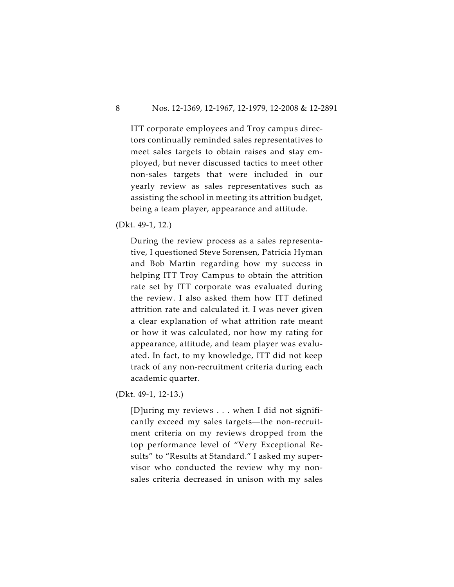ITT corporate employees and Troy campus directors continually reminded sales representatives to meet sales targets to obtain raises and stay employed, but never discussed tactics to meet other non-sales targets that were included in our yearly review as sales representatives such as assisting the school in meeting its attrition budget, being a team player, appearance and attitude.

(Dkt. 49-1, 12.)

During the review process as a sales representative, I questioned Steve Sorensen, Patricia Hyman and Bob Martin regarding how my success in helping ITT Troy Campus to obtain the attrition rate set by ITT corporate was evaluated during the review. I also asked them how ITT defined attrition rate and calculated it. I was never given a clear explanation of what attrition rate meant or how it was calculated, nor how my rating for appearance, attitude, and team player was evaluated. In fact, to my knowledge, ITT did not keep track of any non-recruitment criteria during each academic quarter.

(Dkt. 49-1, 12-13.)

[D]uring my reviews . . . when I did not significantly exceed my sales targets—the non-recruitment criteria on my reviews dropped from the top performance level of "Very Exceptional Results" to "Results at Standard." I asked my supervisor who conducted the review why my nonsales criteria decreased in unison with my sales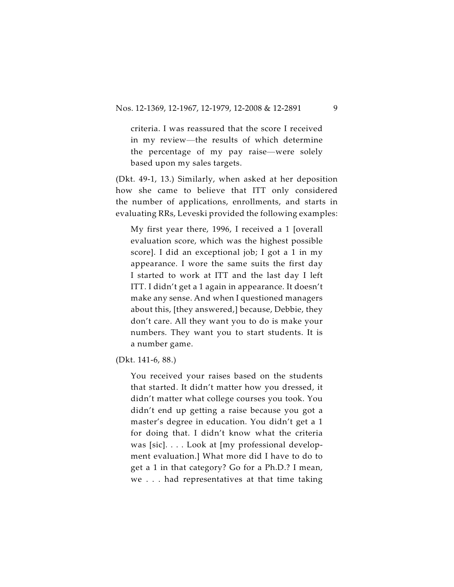criteria. I was reassured that the score I received in my review—the results of which determine the percentage of my pay raise—were solely based upon my sales targets.

(Dkt. 49-1, 13.) Similarly, when asked at her deposition how she came to believe that ITT only considered the number of applications, enrollments, and starts in evaluating RRs, Leveski provided the following examples:

My first year there, 1996, I received a 1 [overall evaluation score, which was the highest possible score]. I did an exceptional job; I got a 1 in my appearance. I wore the same suits the first day I started to work at ITT and the last day I left ITT. I didn't get a 1 again in appearance. It doesn't make any sense. And when I questioned managers about this, [they answered,] because, Debbie, they don't care. All they want you to do is make your numbers. They want you to start students. It is a number game.

(Dkt. 141-6, 88.)

You received your raises based on the students that started. It didn't matter how you dressed, it didn't matter what college courses you took. You didn't end up getting a raise because you got a master's degree in education. You didn't get a 1 for doing that. I didn't know what the criteria was [sic]. . . . Look at [my professional development evaluation.] What more did I have to do to get a 1 in that category? Go for a Ph.D.? I mean, we . . . had representatives at that time taking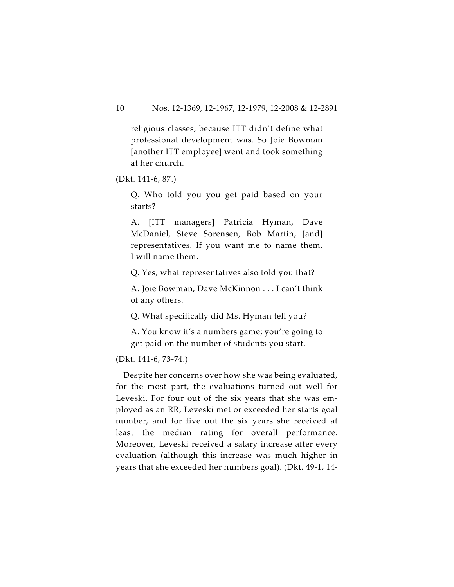religious classes, because ITT didn't define what professional development was. So Joie Bowman [another ITT employee] went and took something at her church.

(Dkt. 141-6, 87.)

Q. Who told you you get paid based on your starts?

A. [ITT managers] Patricia Hyman, Dave McDaniel, Steve Sorensen, Bob Martin, [and] representatives. If you want me to name them, I will name them.

Q. Yes, what representatives also told you that?

A. Joie Bowman, Dave McKinnon . . . I can't think of any others.

Q. What specifically did Ms. Hyman tell you?

A. You know it's a numbers game; you're going to get paid on the number of students you start.

### (Dkt. 141-6, 73-74.)

Despite her concerns over how she was being evaluated, for the most part, the evaluations turned out well for Leveski. For four out of the six years that she was employed as an RR, Leveski met or exceeded her starts goal number, and for five out the six years she received at least the median rating for overall performance. Moreover, Leveski received a salary increase after every evaluation (although this increase was much higher in years that she exceeded her numbers goal). (Dkt. 49-1, 14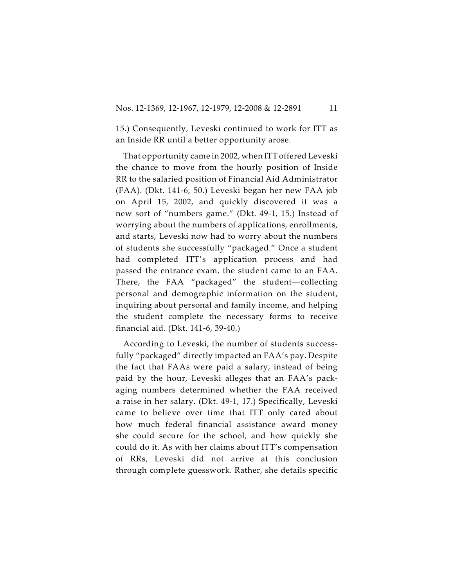15.) Consequently, Leveski continued to work for ITT as an Inside RR until a better opportunity arose.

That opportunity came in 2002, when ITT offered Leveski the chance to move from the hourly position of Inside RR to the salaried position of Financial Aid Administrator (FAA). (Dkt. 141-6, 50.) Leveski began her new FAA job on April 15, 2002, and quickly discovered it was a new sort of "numbers game." (Dkt. 49-1, 15.) Instead of worrying about the numbers of applications, enrollments, and starts, Leveski now had to worry about the numbers of students she successfully "packaged." Once a student had completed ITT's application process and had passed the entrance exam, the student came to an FAA. There, the FAA "packaged" the student—collecting personal and demographic information on the student, inquiring about personal and family income, and helping the student complete the necessary forms to receive financial aid. (Dkt. 141-6, 39-40.)

According to Leveski, the number of students successfully "packaged" directly impacted an FAA's pay. Despite the fact that FAAs were paid a salary, instead of being paid by the hour, Leveski alleges that an FAA's packaging numbers determined whether the FAA received a raise in her salary. (Dkt. 49-1, 17.) Specifically, Leveski came to believe over time that ITT only cared about how much federal financial assistance award money she could secure for the school, and how quickly she could do it. As with her claims about ITT's compensation of RRs, Leveski did not arrive at this conclusion through complete guesswork. Rather, she details specific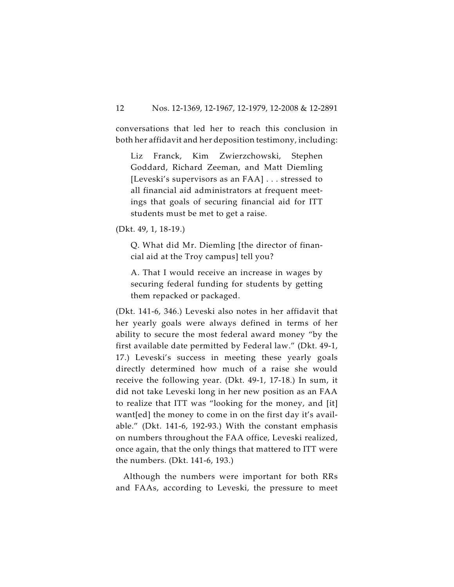conversations that led her to reach this conclusion in both her affidavit and her deposition testimony, including:

Liz Franck, Kim Zwierzchowski, Stephen Goddard, Richard Zeeman, and Matt Diemling [Leveski's supervisors as an FAA] . . . stressed to all financial aid administrators at frequent meetings that goals of securing financial aid for ITT students must be met to get a raise.

(Dkt. 49, 1, 18-19.)

Q. What did Mr. Diemling [the director of financial aid at the Troy campus] tell you?

A. That I would receive an increase in wages by securing federal funding for students by getting them repacked or packaged.

(Dkt. 141-6, 346.) Leveski also notes in her affidavit that her yearly goals were always defined in terms of her ability to secure the most federal award money "by the first available date permitted by Federal law." (Dkt. 49-1, 17.) Leveski's success in meeting these yearly goals directly determined how much of a raise she would receive the following year. (Dkt. 49-1, 17-18.) In sum, it did not take Leveski long in her new position as an FAA to realize that ITT was "looking for the money, and [it] want[ed] the money to come in on the first day it's available." (Dkt. 141-6, 192-93.) With the constant emphasis on numbers throughout the FAA office, Leveski realized, once again, that the only things that mattered to ITT were the numbers. (Dkt. 141-6, 193.)

Although the numbers were important for both RRs and FAAs, according to Leveski, the pressure to meet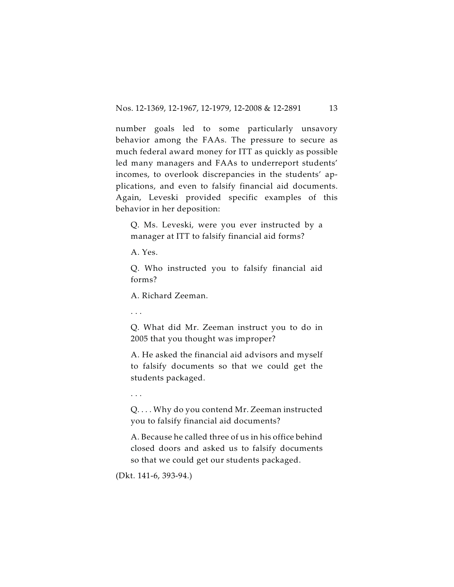number goals led to some particularly unsavory behavior among the FAAs. The pressure to secure as much federal award money for ITT as quickly as possible led many managers and FAAs to underreport students' incomes, to overlook discrepancies in the students' applications, and even to falsify financial aid documents. Again, Leveski provided specific examples of this behavior in her deposition:

Q. Ms. Leveski, were you ever instructed by a manager at ITT to falsify financial aid forms?

A. Yes.

Q. Who instructed you to falsify financial aid forms?

A. Richard Zeeman.

. . .

Q. What did Mr. Zeeman instruct you to do in 2005 that you thought was improper?

A. He asked the financial aid advisors and myself to falsify documents so that we could get the students packaged.

. . .

Q. . . . Why do you contend Mr. Zeeman instructed you to falsify financial aid documents?

A. Because he called three of us in his office behind closed doors and asked us to falsify documents so that we could get our students packaged.

(Dkt. 141-6, 393-94.)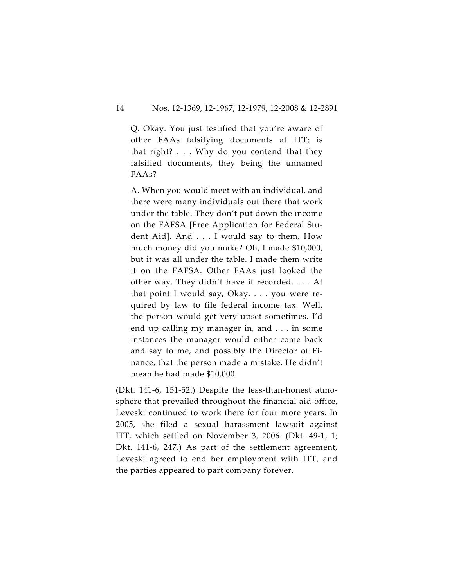Q. Okay. You just testified that you're aware of other FAAs falsifying documents at ITT; is that right? . . . Why do you contend that they falsified documents, they being the unnamed FAAs?

A. When you would meet with an individual, and there were many individuals out there that work under the table. They don't put down the income on the FAFSA [Free Application for Federal Student Aid]. And . . . I would say to them, How much money did you make? Oh, I made \$10,000, but it was all under the table. I made them write it on the FAFSA. Other FAAs just looked the other way. They didn't have it recorded. . . . At that point I would say, Okay, . . . you were required by law to file federal income tax. Well, the person would get very upset sometimes. I'd end up calling my manager in, and . . . in some instances the manager would either come back and say to me, and possibly the Director of Finance, that the person made a mistake. He didn't mean he had made \$10,000.

(Dkt. 141-6, 151-52.) Despite the less-than-honest atmosphere that prevailed throughout the financial aid office, Leveski continued to work there for four more years. In 2005, she filed a sexual harassment lawsuit against ITT, which settled on November 3, 2006. (Dkt. 49-1, 1; Dkt. 141-6, 247.) As part of the settlement agreement, Leveski agreed to end her employment with ITT, and the parties appeared to part company forever.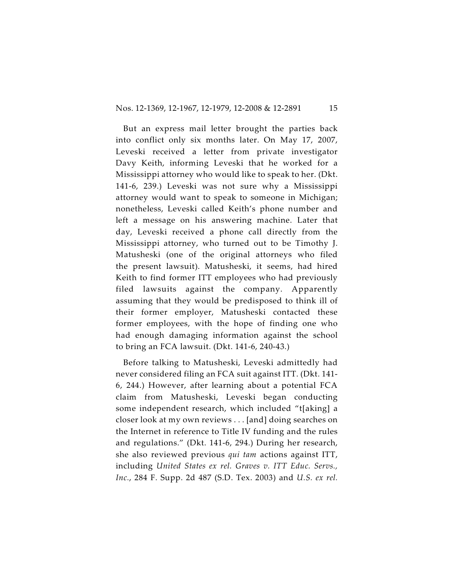But an express mail letter brought the parties back into conflict only six months later. On May 17, 2007, Leveski received a letter from private investigator Davy Keith, informing Leveski that he worked for a Mississippi attorney who would like to speak to her. (Dkt. 141-6, 239.) Leveski was not sure why a Mississippi attorney would want to speak to someone in Michigan; nonetheless, Leveski called Keith's phone number and left a message on his answering machine. Later that day, Leveski received a phone call directly from the Mississippi attorney, who turned out to be Timothy J. Matusheski (one of the original attorneys who filed the present lawsuit). Matusheski, it seems, had hired Keith to find former ITT employees who had previously filed lawsuits against the company. Apparently assuming that they would be predisposed to think ill of their former employer, Matusheski contacted these former employees, with the hope of finding one who had enough damaging information against the school to bring an FCA lawsuit. (Dkt. 141-6, 240-43.)

Before talking to Matusheski, Leveski admittedly had never considered filing an FCA suit against ITT. (Dkt. 141- 6, 244.) However, after learning about a potential FCA claim from Matusheski, Leveski began conducting some independent research, which included "t[aking] a closer look at my own reviews . . . [and] doing searches on the Internet in reference to Title IV funding and the rules and regulations." (Dkt. 141-6, 294.) During her research, she also reviewed previous *qui tam* actions against ITT, including *United States ex rel. Graves v. ITT Educ. Servs., Inc.*, 284 F. Supp. 2d 487 (S.D. Tex. 2003) and *U.S. ex rel.*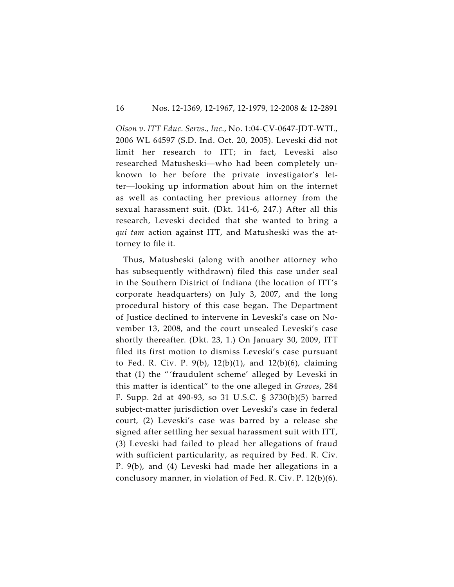*Olson v. ITT Educ. Servs., Inc.*, No. 1:04-CV-0647-JDT-WTL, 2006 WL 64597 (S.D. Ind. Oct. 20, 2005). Leveski did not limit her research to ITT; in fact, Leveski also researched Matusheski—who had been completely unknown to her before the private investigator's letter—looking up information about him on the internet as well as contacting her previous attorney from the sexual harassment suit. (Dkt. 141-6, 247.) After all this research, Leveski decided that she wanted to bring a *qui tam* action against ITT, and Matusheski was the attorney to file it.

Thus, Matusheski (along with another attorney who has subsequently withdrawn) filed this case under seal in the Southern District of Indiana (the location of ITT's corporate headquarters) on July 3, 2007, and the long procedural history of this case began. The Department of Justice declined to intervene in Leveski's case on November 13, 2008, and the court unsealed Leveski's case shortly thereafter. (Dkt. 23, 1.) On January 30, 2009, ITT filed its first motion to dismiss Leveski's case pursuant to Fed. R. Civ. P. 9(b), 12(b)(1), and 12(b)(6), claiming that (1) the " 'fraudulent scheme' alleged by Leveski in this matter is identical" to the one alleged in *Graves*, 284 F. Supp. 2d at 490-93, so 31 U.S.C. § 3730(b)(5) barred subject-matter jurisdiction over Leveski's case in federal court, (2) Leveski's case was barred by a release she signed after settling her sexual harassment suit with ITT, (3) Leveski had failed to plead her allegations of fraud with sufficient particularity, as required by Fed. R. Civ. P. 9(b), and (4) Leveski had made her allegations in a conclusory manner, in violation of Fed. R. Civ. P. 12(b)(6).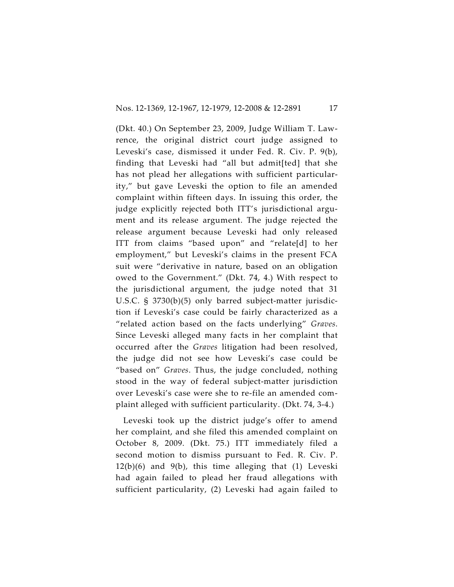(Dkt. 40.) On September 23, 2009, Judge William T. Lawrence, the original district court judge assigned to Leveski's case, dismissed it under Fed. R. Civ. P. 9(b), finding that Leveski had "all but admit[ted] that she has not plead her allegations with sufficient particularity," but gave Leveski the option to file an amended complaint within fifteen days. In issuing this order, the judge explicitly rejected both ITT's jurisdictional argument and its release argument. The judge rejected the release argument because Leveski had only released ITT from claims "based upon" and "relate[d] to her employment," but Leveski's claims in the present FCA suit were "derivative in nature, based on an obligation owed to the Government." (Dkt. 74, 4.) With respect to the jurisdictional argument, the judge noted that 31 U.S.C. § 3730(b)(5) only barred subject-matter jurisdiction if Leveski's case could be fairly characterized as a "related action based on the facts underlying" *Graves*. Since Leveski alleged many facts in her complaint that occurred after the *Graves* litigation had been resolved, the judge did not see how Leveski's case could be "based on" *Graves*. Thus, the judge concluded, nothing stood in the way of federal subject-matter jurisdiction over Leveski's case were she to re-file an amended complaint alleged with sufficient particularity. (Dkt. 74, 3-4.)

Leveski took up the district judge's offer to amend her complaint, and she filed this amended complaint on October 8, 2009. (Dkt. 75.) ITT immediately filed a second motion to dismiss pursuant to Fed. R. Civ. P. 12(b)(6) and 9(b), this time alleging that (1) Leveski had again failed to plead her fraud allegations with sufficient particularity, (2) Leveski had again failed to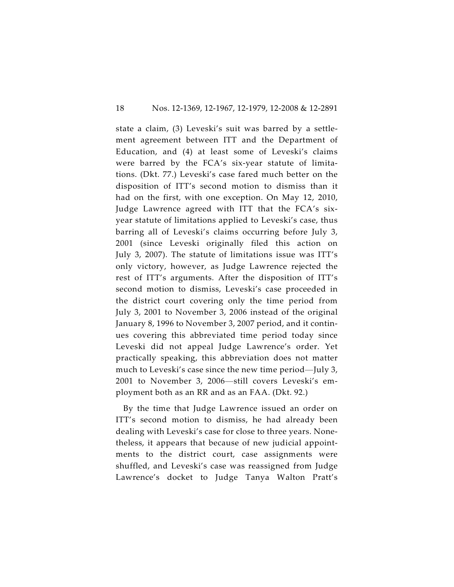state a claim, (3) Leveski's suit was barred by a settlement agreement between ITT and the Department of Education, and (4) at least some of Leveski's claims were barred by the FCA's six-year statute of limitations. (Dkt. 77.) Leveski's case fared much better on the disposition of ITT's second motion to dismiss than it had on the first, with one exception. On May 12, 2010, Judge Lawrence agreed with ITT that the FCA's sixyear statute of limitations applied to Leveski's case, thus barring all of Leveski's claims occurring before July 3, 2001 (since Leveski originally filed this action on July 3, 2007). The statute of limitations issue was ITT's only victory, however, as Judge Lawrence rejected the rest of ITT's arguments. After the disposition of ITT's second motion to dismiss, Leveski's case proceeded in the district court covering only the time period from July 3, 2001 to November 3, 2006 instead of the original January 8, 1996 to November 3, 2007 period, and it continues covering this abbreviated time period today since Leveski did not appeal Judge Lawrence's order. Yet practically speaking, this abbreviation does not matter much to Leveski's case since the new time period—July 3, 2001 to November 3, 2006—still covers Leveski's employment both as an RR and as an FAA. (Dkt. 92.)

By the time that Judge Lawrence issued an order on ITT's second motion to dismiss, he had already been dealing with Leveski's case for close to three years. Nonetheless, it appears that because of new judicial appointments to the district court, case assignments were shuffled, and Leveski's case was reassigned from Judge Lawrence's docket to Judge Tanya Walton Pratt's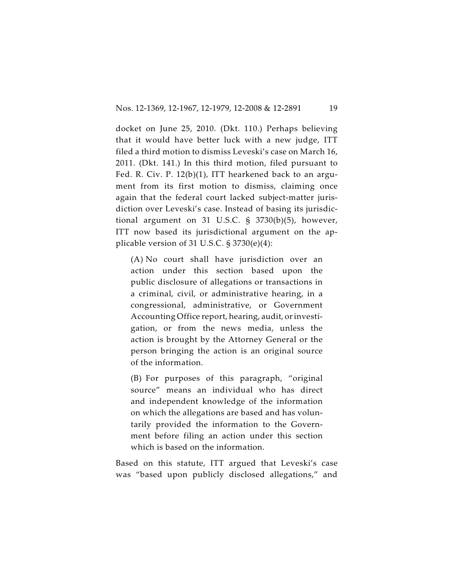docket on June 25, 2010. (Dkt. 110.) Perhaps believing that it would have better luck with a new judge, ITT filed a third motion to dismiss Leveski's case on March 16, 2011. (Dkt. 141.) In this third motion, filed pursuant to Fed. R. Civ. P. 12(b)(1), ITT hearkened back to an argument from its first motion to dismiss, claiming once again that the federal court lacked subject-matter jurisdiction over Leveski's case. Instead of basing its jurisdictional argument on 31 U.S.C. § 3730(b)(5), however, ITT now based its jurisdictional argument on the applicable version of 31 U.S.C.  $\S 3730(e)(4)$ :

(A) No court shall have jurisdiction over an action under this section based upon the public disclosure of allegations or transactions in a criminal, civil, or administrative hearing, in a congressional, administrative, or Government Accounting Office report, hearing, audit, or investigation, or from the news media, unless the action is brought by the Attorney General or the person bringing the action is an original source of the information.

(B) For purposes of this paragraph, "original source" means an individual who has direct and independent knowledge of the information on which the allegations are based and has voluntarily provided the information to the Government before filing an action under this section which is based on the information.

Based on this statute, ITT argued that Leveski's case was "based upon publicly disclosed allegations," and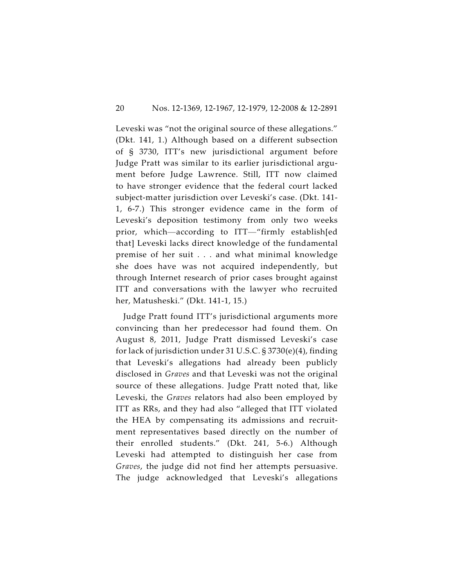Leveski was "not the original source of these allegations." (Dkt. 141, 1.) Although based on a different subsection of § 3730, ITT's new jurisdictional argument before Judge Pratt was similar to its earlier jurisdictional argument before Judge Lawrence. Still, ITT now claimed to have stronger evidence that the federal court lacked subject-matter jurisdiction over Leveski's case. (Dkt. 141- 1, 6-7.) This stronger evidence came in the form of Leveski's deposition testimony from only two weeks prior, which—according to ITT—"firmly establish[ed that] Leveski lacks direct knowledge of the fundamental premise of her suit . . . and what minimal knowledge she does have was not acquired independently, but through Internet research of prior cases brought against ITT and conversations with the lawyer who recruited her, Matusheski." (Dkt. 141-1, 15.)

Judge Pratt found ITT's jurisdictional arguments more convincing than her predecessor had found them. On August 8, 2011, Judge Pratt dismissed Leveski's case for lack of jurisdiction under 31 U.S.C. § 3730(e)(4), finding that Leveski's allegations had already been publicly disclosed in *Graves* and that Leveski was not the original source of these allegations. Judge Pratt noted that, like Leveski, the *Graves* relators had also been employed by ITT as RRs, and they had also "alleged that ITT violated the HEA by compensating its admissions and recruitment representatives based directly on the number of their enrolled students." (Dkt. 241, 5-6.) Although Leveski had attempted to distinguish her case from *Graves*, the judge did not find her attempts persuasive. The judge acknowledged that Leveski's allegations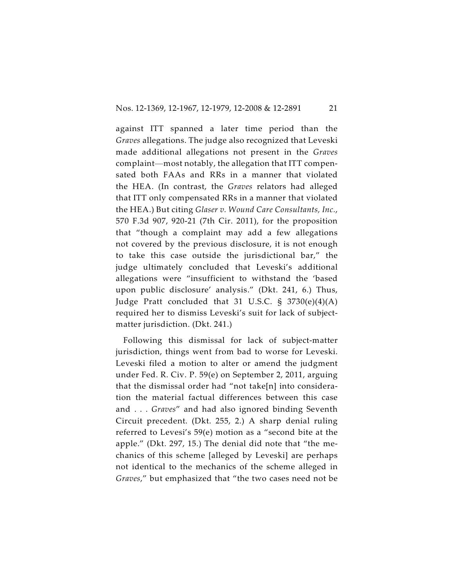against ITT spanned a later time period than the *Graves* allegations. The judge also recognized that Leveski made additional allegations not present in the *Graves* complaint—most notably, the allegation that ITT compensated both FAAs and RRs in a manner that violated the HEA. (In contrast, the *Graves* relators had alleged that ITT only compensated RRs in a manner that violated the HEA.) But citing *Glaser v. Wound Care Consultants, Inc.*, 570 F.3d 907, 920-21 (7th Cir. 2011), for the proposition that "though a complaint may add a few allegations not covered by the previous disclosure, it is not enough to take this case outside the jurisdictional bar," the judge ultimately concluded that Leveski's additional allegations were "insufficient to withstand the 'based upon public disclosure' analysis." (Dkt. 241, 6.) Thus, Judge Pratt concluded that 31 U.S.C. § 3730(e)(4)(A) required her to dismiss Leveski's suit for lack of subjectmatter jurisdiction. (Dkt. 241.)

Following this dismissal for lack of subject-matter jurisdiction, things went from bad to worse for Leveski. Leveski filed a motion to alter or amend the judgment under Fed. R. Civ. P. 59(e) on September 2, 2011, arguing that the dismissal order had "not take[n] into consideration the material factual differences between this case and . . . *Graves*" and had also ignored binding Seventh Circuit precedent. (Dkt. 255, 2.) A sharp denial ruling referred to Levesi's 59(e) motion as a "second bite at the apple." (Dkt. 297, 15.) The denial did note that "the mechanics of this scheme [alleged by Leveski] are perhaps not identical to the mechanics of the scheme alleged in *Graves*," but emphasized that "the two cases need not be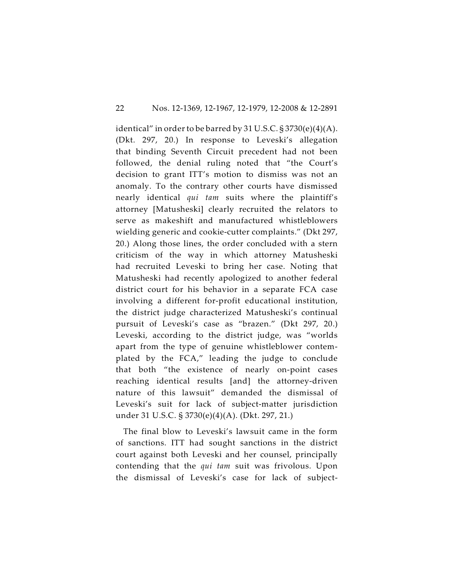identical" in order to be barred by 31 U.S.C.  $\S 3730(e)(4)(A)$ . (Dkt. 297, 20.) In response to Leveski's allegation that binding Seventh Circuit precedent had not been followed, the denial ruling noted that "the Court's decision to grant ITT's motion to dismiss was not an anomaly. To the contrary other courts have dismissed nearly identical *qui tam* suits where the plaintiff's attorney [Matusheski] clearly recruited the relators to serve as makeshift and manufactured whistleblowers wielding generic and cookie-cutter complaints." (Dkt 297, 20.) Along those lines, the order concluded with a stern criticism of the way in which attorney Matusheski had recruited Leveski to bring her case. Noting that Matusheski had recently apologized to another federal district court for his behavior in a separate FCA case involving a different for-profit educational institution, the district judge characterized Matusheski's continual pursuit of Leveski's case as "brazen." (Dkt 297, 20.) Leveski, according to the district judge, was "worlds apart from the type of genuine whistleblower contemplated by the FCA," leading the judge to conclude that both "the existence of nearly on-point cases reaching identical results [and] the attorney-driven nature of this lawsuit" demanded the dismissal of Leveski's suit for lack of subject-matter jurisdiction under 31 U.S.C. § 3730(e)(4)(A). (Dkt. 297, 21.)

The final blow to Leveski's lawsuit came in the form of sanctions. ITT had sought sanctions in the district court against both Leveski and her counsel, principally contending that the *qui tam* suit was frivolous. Upon the dismissal of Leveski's case for lack of subject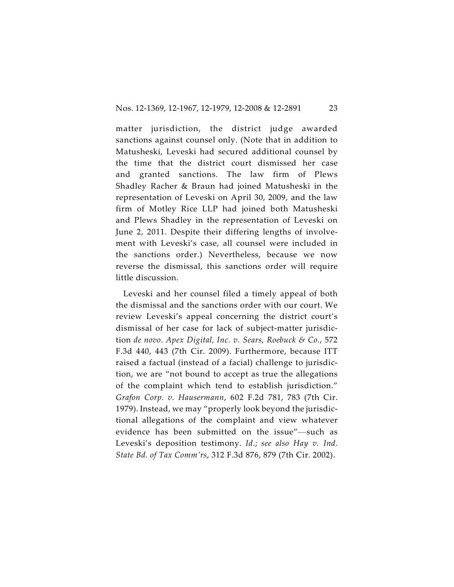matter jurisdiction, the district judge awarded sanctions against counsel only. (Note that in addition to Matusheski, Leveski had secured additional counsel by the time that the district court dismissed her case and granted sanctions. The law firm of Plews Shadley Racher & Braun had joined Matusheski in the representation of Leveski on April 30, 2009, and the law firm of Motley Rice LLP had joined both Matusheski and Plews Shadley in the representation of Leveski on June 2, 2011. Despite their differing lengths of involvement with Leveski's case, all counsel were included in the sanctions order.) Nevertheless, because we now reverse the dismissal, this sanctions order will require little discussion.

Leveski and her counsel filed a timely appeal of both the dismissal and the sanctions order with our court. We review Leveski's appeal concerning the district court's dismissal of her case for lack of subject-matter jurisdiction *de novo*. *Apex Digital, Inc. v. Sears, Roebuck & Co.*, 572 F.3d 440, 443 (7th Cir. 2009). Furthermore, because ITT raised a factual (instead of a facial) challenge to jurisdiction, we are "not bound to accept as true the allegations of the complaint which tend to establish jurisdiction." *Grafon Corp. v. Hausermann*, 602 F.2d 781, 783 (7th Cir. 1979). Instead, we may "properly look beyond the jurisdictional allegations of the complaint and view whatever evidence has been submitted on the issue"—such as Leveski's deposition testimony. *Id*.; *see also Hay v. Ind. State Bd. of Tax Comm'rs*, 312 F.3d 876, 879 (7th Cir. 2002).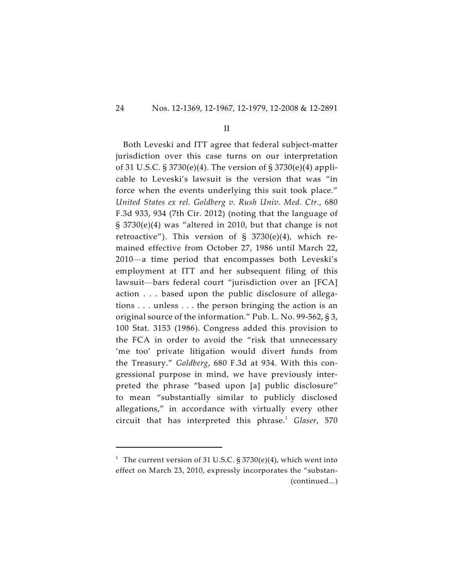II

Both Leveski and ITT agree that federal subject-matter jurisdiction over this case turns on our interpretation of 31 U.S.C. § 3730(e)(4). The version of § 3730(e)(4) applicable to Leveski's lawsuit is the version that was "in force when the events underlying this suit took place." *United States ex rel. Goldberg v. Rush Univ. Med. Ctr.*, 680 F.3d 933, 934 (7th Cir. 2012) (noting that the language of § 3730(e)(4) was "altered in 2010, but that change is not retroactive"). This version of § 3730(e)(4), which remained effective from October 27, 1986 until March 22, 2010—a time period that encompasses both Leveski's employment at ITT and her subsequent filing of this lawsuit—bars federal court "jurisdiction over an [FCA] action . . . based upon the public disclosure of allegations . . . unless . . . the person bringing the action is an original source of the information." Pub. L. No. 99-562, § 3, 100 Stat. 3153 (1986). Congress added this provision to the FCA in order to avoid the "risk that unnecessary 'me too' private litigation would divert funds from the Treasury." *Goldberg*, 680 F.3d at 934. With this congressional purpose in mind, we have previously interpreted the phrase "based upon [a] public disclosure" to mean "substantially similar to publicly disclosed allegations," in accordance with virtually every other circuit that has interpreted this phrase.<sup>1</sup> Glaser, 570

<sup>&</sup>lt;sup>1</sup> The current version of 31 U.S.C. § 3730(e)(4), which went into effect on March 23, 2010, expressly incorporates the "substan- (continued...)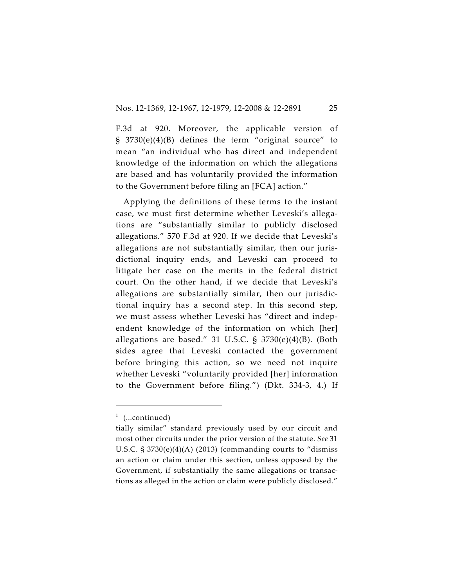F.3d at 920. Moreover, the applicable version of § 3730(e)(4)(B) defines the term "original source" to mean "an individual who has direct and independent knowledge of the information on which the allegations are based and has voluntarily provided the information to the Government before filing an [FCA] action."

Applying the definitions of these terms to the instant case, we must first determine whether Leveski's allegations are "substantially similar to publicly disclosed allegations." 570 F.3d at 920. If we decide that Leveski's allegations are not substantially similar, then our jurisdictional inquiry ends, and Leveski can proceed to litigate her case on the merits in the federal district court. On the other hand, if we decide that Leveski's allegations are substantially similar, then our jurisdictional inquiry has a second step. In this second step, we must assess whether Leveski has "direct and independent knowledge of the information on which [her] allegations are based." 31 U.S.C. § 3730(e)(4)(B). (Both sides agree that Leveski contacted the government before bringing this action, so we need not inquire whether Leveski "voluntarily provided [her] information to the Government before filing.") (Dkt. 334-3, 4.) If

 $1$  (...continued)

tially similar" standard previously used by our circuit and most other circuits under the prior version of the statute. *See* 31 U.S.C. § 3730(e)(4)(A) (2013) (commanding courts to "dismiss an action or claim under this section, unless opposed by the Government, if substantially the same allegations or transactions as alleged in the action or claim were publicly disclosed."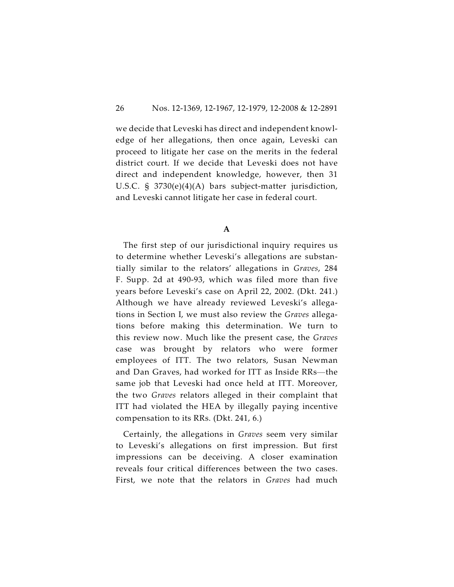we decide that Leveski has direct and independent knowledge of her allegations, then once again, Leveski can proceed to litigate her case on the merits in the federal district court. If we decide that Leveski does not have direct and independent knowledge, however, then 31 U.S.C. § 3730(e)(4)(A) bars subject-matter jurisdiction, and Leveski cannot litigate her case in federal court.

**A**

The first step of our jurisdictional inquiry requires us to determine whether Leveski's allegations are substantially similar to the relators' allegations in *Graves*, 284 F. Supp. 2d at 490-93, which was filed more than five years before Leveski's case on April 22, 2002. (Dkt. 241.) Although we have already reviewed Leveski's allegations in Section I, we must also review the *Graves* allegations before making this determination. We turn to this review now. Much like the present case, the *Graves* case was brought by relators who were former employees of ITT. The two relators, Susan Newman and Dan Graves, had worked for ITT as Inside RRs—the same job that Leveski had once held at ITT. Moreover, the two *Graves* relators alleged in their complaint that ITT had violated the HEA by illegally paying incentive compensation to its RRs. (Dkt. 241, 6.)

Certainly, the allegations in *Graves* seem very similar to Leveski's allegations on first impression. But first impressions can be deceiving. A closer examination reveals four critical differences between the two cases. First, we note that the relators in *Graves* had much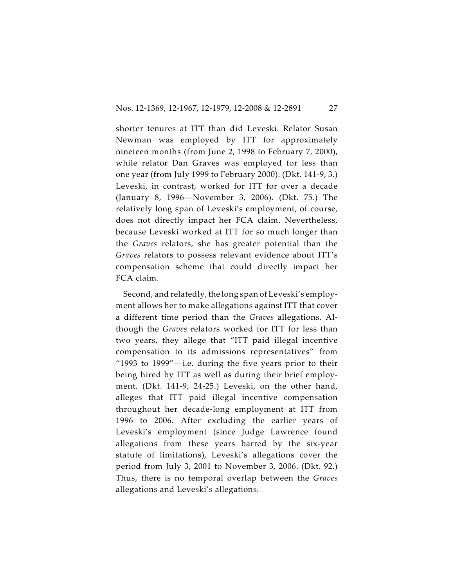shorter tenures at ITT than did Leveski. Relator Susan Newman was employed by ITT for approximately nineteen months (from June 2, 1998 to February 7, 2000), while relator Dan Graves was employed for less than one year (from July 1999 to February 2000). (Dkt. 141-9, 3.) Leveski, in contrast, worked for ITT for over a decade (January 8, 1996—November 3, 2006). (Dkt. 75.) The relatively long span of Leveski's employment, of course, does not directly impact her FCA claim. Nevertheless, because Leveski worked at ITT for so much longer than the *Graves* relators, she has greater potential than the *Graves* relators to possess relevant evidence about ITT's compensation scheme that could directly impact her FCA claim.

Second, and relatedly, the long span of Leveski's employment allows her to make allegations against ITT that cover a different time period than the *Graves* allegations. Although the *Graves* relators worked for ITT for less than two years, they allege that "ITT paid illegal incentive compensation to its admissions representatives" from "1993 to 1999"—i.e. during the five years prior to their being hired by ITT as well as during their brief employment. (Dkt. 141-9, 24-25.) Leveski, on the other hand, alleges that ITT paid illegal incentive compensation throughout her decade-long employment at ITT from 1996 to 2006. After excluding the earlier years of Leveski's employment (since Judge Lawrence found allegations from these years barred by the six-year statute of limitations), Leveski's allegations cover the period from July 3, 2001 to November 3, 2006. (Dkt. 92.) Thus, there is no temporal overlap between the *Graves* allegations and Leveski's allegations.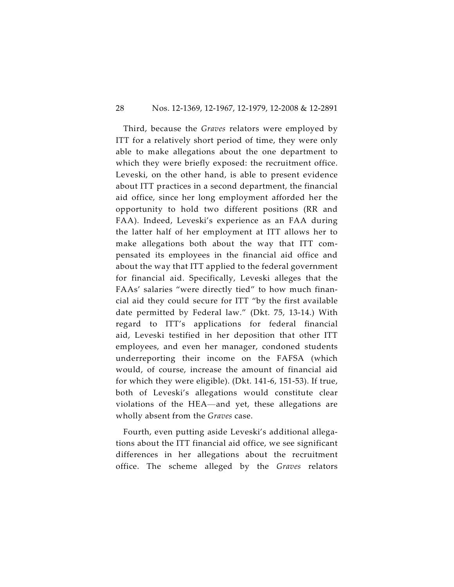#### 28 Nos. 12-1369, 12-1967, 12-1979, 12-2008 & 12-2891

Third, because the *Graves* relators were employed by ITT for a relatively short period of time, they were only able to make allegations about the one department to which they were briefly exposed: the recruitment office. Leveski, on the other hand, is able to present evidence about ITT practices in a second department, the financial aid office, since her long employment afforded her the opportunity to hold two different positions (RR and FAA). Indeed, Leveski's experience as an FAA during the latter half of her employment at ITT allows her to make allegations both about the way that ITT compensated its employees in the financial aid office and about the way that ITT applied to the federal government for financial aid. Specifically, Leveski alleges that the FAAs' salaries "were directly tied" to how much financial aid they could secure for ITT "by the first available date permitted by Federal law." (Dkt. 75, 13-14.) With regard to ITT's applications for federal financial aid, Leveski testified in her deposition that other ITT employees, and even her manager, condoned students underreporting their income on the FAFSA (which would, of course, increase the amount of financial aid for which they were eligible). (Dkt. 141-6, 151-53). If true, both of Leveski's allegations would constitute clear violations of the HEA—and yet, these allegations are wholly absent from the *Graves* case.

Fourth, even putting aside Leveski's additional allegations about the ITT financial aid office, we see significant differences in her allegations about the recruitment office. The scheme alleged by the *Graves* relators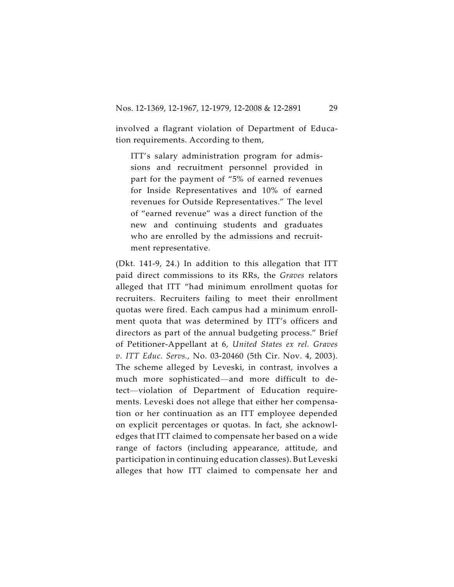involved a flagrant violation of Department of Education requirements. According to them,

ITT's salary administration program for admissions and recruitment personnel provided in part for the payment of "5% of earned revenues for Inside Representatives and 10% of earned revenues for Outside Representatives." The level of "earned revenue" was a direct function of the new and continuing students and graduates who are enrolled by the admissions and recruitment representative.

(Dkt. 141-9, 24.) In addition to this allegation that ITT paid direct commissions to its RRs, the *Graves* relators alleged that ITT "had minimum enrollment quotas for recruiters. Recruiters failing to meet their enrollment quotas were fired. Each campus had a minimum enrollment quota that was determined by ITT's officers and directors as part of the annual budgeting process." Brief of Petitioner-Appellant at 6, *United States ex rel. Graves v. ITT Educ. Servs.,* No. 03-20460 (5th Cir. Nov. 4, 2003). The scheme alleged by Leveski, in contrast, involves a much more sophisticated—and more difficult to detect—violation of Department of Education requirements. Leveski does not allege that either her compensation or her continuation as an ITT employee depended on explicit percentages or quotas. In fact, she acknowledges that ITT claimed to compensate her based on a wide range of factors (including appearance, attitude, and participation in continuing education classes). But Leveski alleges that how ITT claimed to compensate her and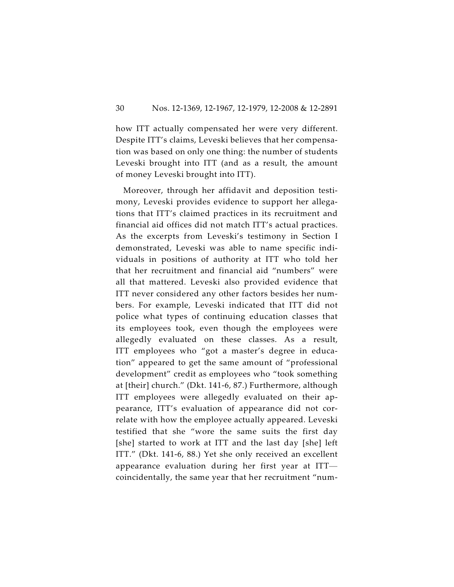how ITT actually compensated her were very different. Despite ITT's claims, Leveski believes that her compensation was based on only one thing: the number of students Leveski brought into ITT (and as a result, the amount of money Leveski brought into ITT).

Moreover, through her affidavit and deposition testimony, Leveski provides evidence to support her allegations that ITT's claimed practices in its recruitment and financial aid offices did not match ITT's actual practices. As the excerpts from Leveski's testimony in Section I demonstrated, Leveski was able to name specific individuals in positions of authority at ITT who told her that her recruitment and financial aid "numbers" were all that mattered. Leveski also provided evidence that ITT never considered any other factors besides her numbers. For example, Leveski indicated that ITT did not police what types of continuing education classes that its employees took, even though the employees were allegedly evaluated on these classes. As a result, ITT employees who "got a master's degree in education" appeared to get the same amount of "professional development" credit as employees who "took something at [their] church." (Dkt. 141-6, 87.) Furthermore, although ITT employees were allegedly evaluated on their appearance, ITT's evaluation of appearance did not correlate with how the employee actually appeared. Leveski testified that she "wore the same suits the first day [she] started to work at ITT and the last day [she] left ITT." (Dkt. 141-6, 88.) Yet she only received an excellent appearance evaluation during her first year at ITT coincidentally, the same year that her recruitment "num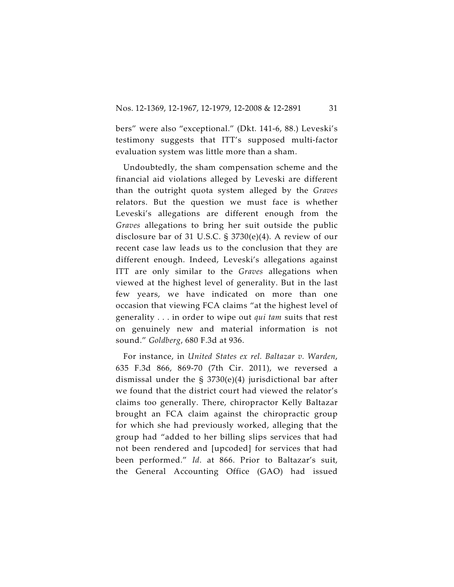bers" were also "exceptional." (Dkt. 141-6, 88.) Leveski's testimony suggests that ITT's supposed multi-factor evaluation system was little more than a sham.

Undoubtedly, the sham compensation scheme and the financial aid violations alleged by Leveski are different than the outright quota system alleged by the *Graves* relators. But the question we must face is whether Leveski's allegations are different enough from the *Graves* allegations to bring her suit outside the public disclosure bar of 31 U.S.C. § 3730(e)(4). A review of our recent case law leads us to the conclusion that they are different enough. Indeed, Leveski's allegations against ITT are only similar to the *Graves* allegations when viewed at the highest level of generality. But in the last few years, we have indicated on more than one occasion that viewing FCA claims "at the highest level of generality . . . in order to wipe out *qui tam* suits that rest on genuinely new and material information is not sound." *Goldberg*, 680 F.3d at 936.

For instance, in *United States ex rel. Baltazar v. Warden*, 635 F.3d 866, 869-70 (7th Cir. 2011), we reversed a dismissal under the § 3730(e)(4) jurisdictional bar after we found that the district court had viewed the relator's claims too generally. There, chiropractor Kelly Baltazar brought an FCA claim against the chiropractic group for which she had previously worked, alleging that the group had "added to her billing slips services that had not been rendered and [upcoded] for services that had been performed." *Id*. at 866. Prior to Baltazar's suit, the General Accounting Office (GAO) had issued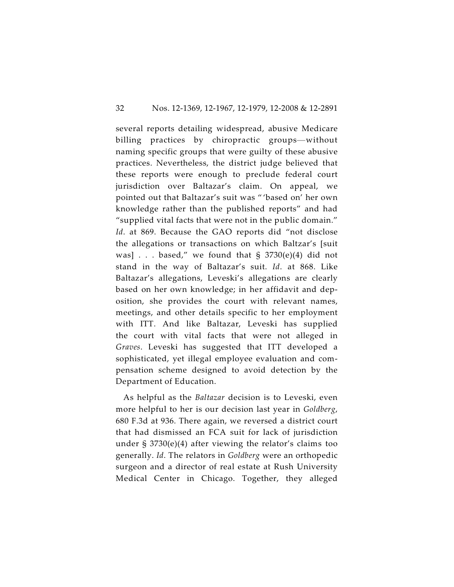several reports detailing widespread, abusive Medicare billing practices by chiropractic groups—without naming specific groups that were guilty of these abusive practices. Nevertheless, the district judge believed that these reports were enough to preclude federal court jurisdiction over Baltazar's claim. On appeal, we pointed out that Baltazar's suit was " 'based on' her own knowledge rather than the published reports" and had "supplied vital facts that were not in the public domain." *Id*. at 869. Because the GAO reports did "not disclose the allegations or transactions on which Baltzar's [suit was] . . . based," we found that  $\S$  3730(e)(4) did not stand in the way of Baltazar's suit. *Id*. at 868. Like Baltazar's allegations, Leveski's allegations are clearly based on her own knowledge; in her affidavit and deposition, she provides the court with relevant names, meetings, and other details specific to her employment with ITT. And like Baltazar, Leveski has supplied the court with vital facts that were not alleged in *Graves*. Leveski has suggested that ITT developed a sophisticated, yet illegal employee evaluation and compensation scheme designed to avoid detection by the Department of Education.

As helpful as the *Baltazar* decision is to Leveski, even more helpful to her is our decision last year in *Goldberg*, 680 F.3d at 936. There again, we reversed a district court that had dismissed an FCA suit for lack of jurisdiction under § 3730(e)(4) after viewing the relator's claims too generally. *Id*. The relators in *Goldberg* were an orthopedic surgeon and a director of real estate at Rush University Medical Center in Chicago. Together, they alleged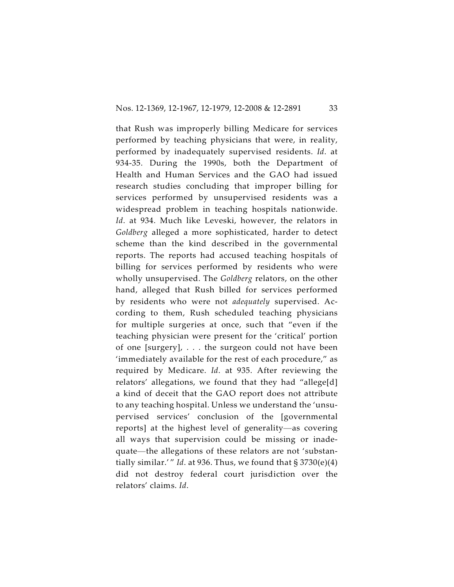that Rush was improperly billing Medicare for services performed by teaching physicians that were, in reality, performed by inadequately supervised residents. *Id*. at 934-35. During the 1990s, both the Department of Health and Human Services and the GAO had issued research studies concluding that improper billing for services performed by unsupervised residents was a widespread problem in teaching hospitals nationwide. *Id*. at 934. Much like Leveski, however, the relators in *Goldberg* alleged a more sophisticated, harder to detect scheme than the kind described in the governmental reports. The reports had accused teaching hospitals of billing for services performed by residents who were wholly unsupervised. The *Goldberg* relators, on the other hand, alleged that Rush billed for services performed by residents who were not *adequately* supervised. According to them, Rush scheduled teaching physicians for multiple surgeries at once, such that "even if the teaching physician were present for the 'critical' portion of one [surgery], . . . the surgeon could not have been 'immediately available for the rest of each procedure," as required by Medicare. *Id*. at 935. After reviewing the relators' allegations, we found that they had "allege[d] a kind of deceit that the GAO report does not attribute to any teaching hospital. Unless we understand the 'unsupervised services' conclusion of the [governmental reports] at the highest level of generality—as covering all ways that supervision could be missing or inadequate—the allegations of these relators are not 'substantially similar.'" *Id*. at 936. Thus, we found that  $\S 3730(e)(4)$ did not destroy federal court jurisdiction over the relators' claims. *Id*.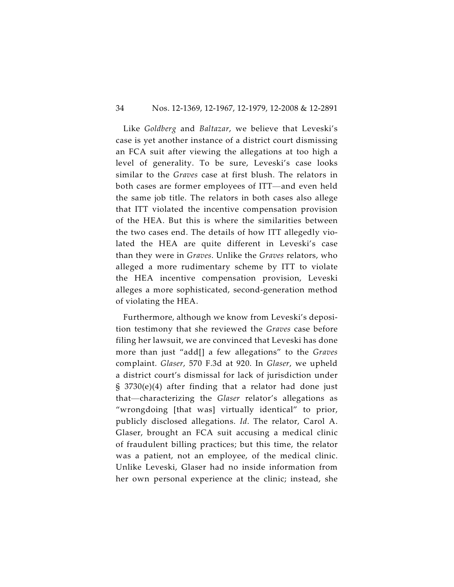#### 34 Nos. 12-1369, 12-1967, 12-1979, 12-2008 & 12-2891

Like *Goldberg* and *Baltazar*, we believe that Leveski's case is yet another instance of a district court dismissing an FCA suit after viewing the allegations at too high a level of generality. To be sure, Leveski's case looks similar to the *Graves* case at first blush. The relators in both cases are former employees of ITT—and even held the same job title. The relators in both cases also allege that ITT violated the incentive compensation provision of the HEA. But this is where the similarities between the two cases end. The details of how ITT allegedly violated the HEA are quite different in Leveski's case than they were in *Graves*. Unlike the *Graves* relators, who alleged a more rudimentary scheme by ITT to violate the HEA incentive compensation provision, Leveski alleges a more sophisticated, second-generation method of violating the HEA.

Furthermore, although we know from Leveski's deposition testimony that she reviewed the *Graves* case before filing her lawsuit, we are convinced that Leveski has done more than just "add[] a few allegations" to the *Graves* complaint. *Glaser*, 570 F.3d at 920. In *Glaser*, we upheld a district court's dismissal for lack of jurisdiction under § 3730(e)(4) after finding that a relator had done just that—characterizing the *Glaser* relator's allegations as "wrongdoing [that was] virtually identical" to prior, publicly disclosed allegations. *Id*. The relator, Carol A. Glaser, brought an FCA suit accusing a medical clinic of fraudulent billing practices; but this time, the relator was a patient, not an employee, of the medical clinic. Unlike Leveski, Glaser had no inside information from her own personal experience at the clinic; instead, she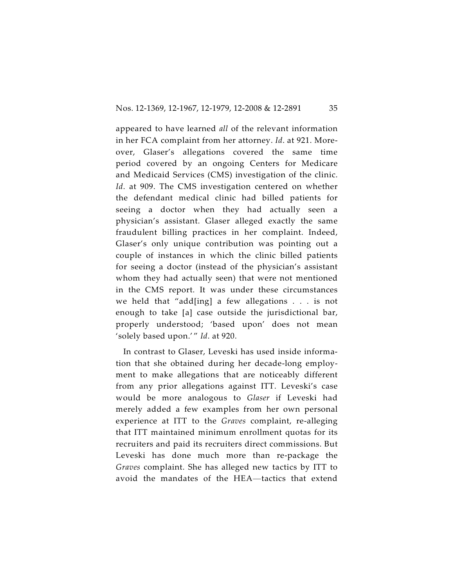appeared to have learned *all* of the relevant information in her FCA complaint from her attorney. *Id*. at 921. Moreover, Glaser's allegations covered the same time period covered by an ongoing Centers for Medicare and Medicaid Services (CMS) investigation of the clinic. *Id*. at 909. The CMS investigation centered on whether the defendant medical clinic had billed patients for seeing a doctor when they had actually seen a physician's assistant. Glaser alleged exactly the same fraudulent billing practices in her complaint. Indeed, Glaser's only unique contribution was pointing out a couple of instances in which the clinic billed patients for seeing a doctor (instead of the physician's assistant whom they had actually seen) that were not mentioned in the CMS report. It was under these circumstances we held that "add[ing] a few allegations . . . is not enough to take [a] case outside the jurisdictional bar, properly understood; 'based upon' does not mean 'solely based upon.' " *Id*. at 920.

In contrast to Glaser, Leveski has used inside information that she obtained during her decade-long employment to make allegations that are noticeably different from any prior allegations against ITT. Leveski's case would be more analogous to *Glaser* if Leveski had merely added a few examples from her own personal experience at ITT to the *Graves* complaint, re-alleging that ITT maintained minimum enrollment quotas for its recruiters and paid its recruiters direct commissions. But Leveski has done much more than re-package the *Graves* complaint. She has alleged new tactics by ITT to avoid the mandates of the HEA—tactics that extend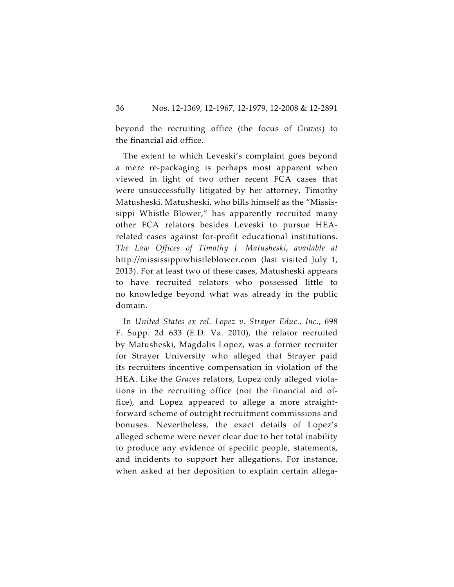beyond the recruiting office (the focus of *Graves*) to the financial aid office.

The extent to which Leveski's complaint goes beyond a mere re-packaging is perhaps most apparent when viewed in light of two other recent FCA cases that were unsuccessfully litigated by her attorney, Timothy Matusheski. Matusheski, who bills himself as the "Mississippi Whistle Blower," has apparently recruited many other FCA relators besides Leveski to pursue HEArelated cases against for-profit educational institutions. *The Law Offices of Timothy J. Matusheski*, *available at* http://mississippiwhistleblower.com (last visited July 1, 2013). For at least two of these cases, Matusheski appears to have recruited relators who possessed little to no knowledge beyond what was already in the public domain.

In *United States ex rel. Lopez v. Strayer Educ., Inc.*, 698 F. Supp. 2d 633 (E.D. Va. 2010), the relator recruited by Matusheski, Magdalis Lopez, was a former recruiter for Strayer University who alleged that Strayer paid its recruiters incentive compensation in violation of the HEA. Like the *Graves* relators, Lopez only alleged violations in the recruiting office (not the financial aid office), and Lopez appeared to allege a more straightforward scheme of outright recruitment commissions and bonuses. Nevertheless, the exact details of Lopez's alleged scheme were never clear due to her total inability to produce any evidence of specific people, statements, and incidents to support her allegations. For instance, when asked at her deposition to explain certain allega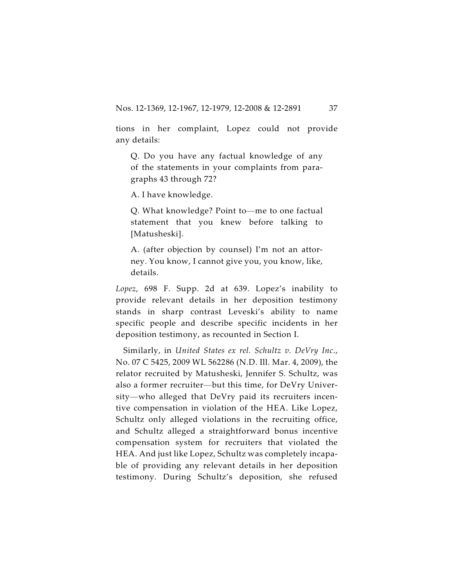tions in her complaint, Lopez could not provide any details:

Q. Do you have any factual knowledge of any of the statements in your complaints from paragraphs 43 through 72?

A. I have knowledge.

Q. What knowledge? Point to—me to one factual statement that you knew before talking to [Matusheski].

A. (after objection by counsel) I'm not an attorney. You know, I cannot give you, you know, like, details.

*Lopez*, 698 F. Supp. 2d at 639. Lopez's inability to provide relevant details in her deposition testimony stands in sharp contrast Leveski's ability to name specific people and describe specific incidents in her deposition testimony, as recounted in Section I.

Similarly, in *United States ex rel. Schultz v. DeVry Inc*., No. 07 C 5425, 2009 WL 562286 (N.D. Ill. Mar. 4, 2009), the relator recruited by Matusheski, Jennifer S. Schultz, was also a former recruiter—but this time, for DeVry University—who alleged that DeVry paid its recruiters incentive compensation in violation of the HEA. Like Lopez, Schultz only alleged violations in the recruiting office, and Schultz alleged a straightforward bonus incentive compensation system for recruiters that violated the HEA. And just like Lopez, Schultz was completely incapable of providing any relevant details in her deposition testimony. During Schultz's deposition, she refused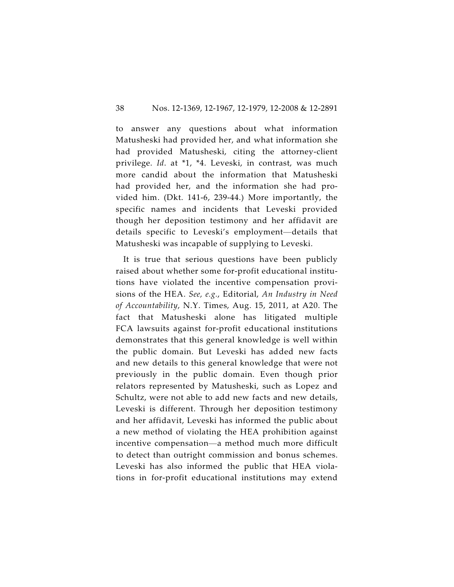to answer any questions about what information Matusheski had provided her, and what information she had provided Matusheski, citing the attorney-client privilege. *Id*. at \*1, \*4. Leveski, in contrast, was much more candid about the information that Matusheski had provided her, and the information she had provided him. (Dkt. 141-6, 239-44.) More importantly, the specific names and incidents that Leveski provided though her deposition testimony and her affidavit are details specific to Leveski's employment—details that Matusheski was incapable of supplying to Leveski.

It is true that serious questions have been publicly raised about whether some for-profit educational institutions have violated the incentive compensation provisions of the HEA. *See, e.g.*, Editorial, *An Industry in Need of Accountability*, N.Y. Times, Aug. 15, 2011, at A20. The fact that Matusheski alone has litigated multiple FCA lawsuits against for-profit educational institutions demonstrates that this general knowledge is well within the public domain. But Leveski has added new facts and new details to this general knowledge that were not previously in the public domain. Even though prior relators represented by Matusheski, such as Lopez and Schultz, were not able to add new facts and new details, Leveski is different. Through her deposition testimony and her affidavit, Leveski has informed the public about a new method of violating the HEA prohibition against incentive compensation—a method much more difficult to detect than outright commission and bonus schemes. Leveski has also informed the public that HEA violations in for-profit educational institutions may extend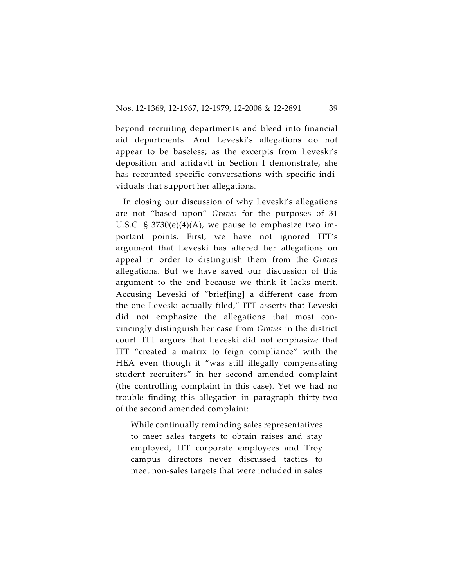beyond recruiting departments and bleed into financial aid departments. And Leveski's allegations do not appear to be baseless; as the excerpts from Leveski's deposition and affidavit in Section I demonstrate, she has recounted specific conversations with specific individuals that support her allegations.

In closing our discussion of why Leveski's allegations are not "based upon" *Graves* for the purposes of 31 U.S.C.  $\S 3730(e)(4)(A)$ , we pause to emphasize two important points. First, we have not ignored ITT's argument that Leveski has altered her allegations on appeal in order to distinguish them from the *Graves* allegations. But we have saved our discussion of this argument to the end because we think it lacks merit. Accusing Leveski of "brief[ing] a different case from the one Leveski actually filed," ITT asserts that Leveski did not emphasize the allegations that most convincingly distinguish her case from *Graves* in the district court. ITT argues that Leveski did not emphasize that ITT "created a matrix to feign compliance" with the HEA even though it "was still illegally compensating student recruiters" in her second amended complaint (the controlling complaint in this case). Yet we had no trouble finding this allegation in paragraph thirty-two of the second amended complaint:

While continually reminding sales representatives to meet sales targets to obtain raises and stay employed, ITT corporate employees and Troy campus directors never discussed tactics to meet non-sales targets that were included in sales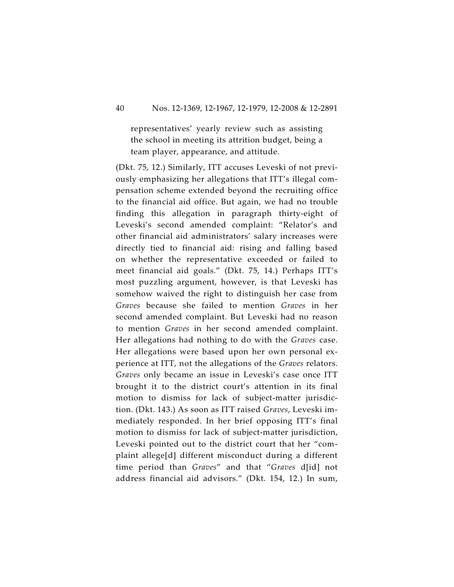representatives' yearly review such as assisting the school in meeting its attrition budget, being a team player, appearance, and attitude.

(Dkt. 75, 12.) Similarly, ITT accuses Leveski of not previously emphasizing her allegations that ITT's illegal compensation scheme extended beyond the recruiting office to the financial aid office. But again, we had no trouble finding this allegation in paragraph thirty-eight of Leveski's second amended complaint: "Relator's and other financial aid administrators' salary increases were directly tied to financial aid: rising and falling based on whether the representative exceeded or failed to meet financial aid goals." (Dkt. 75, 14.) Perhaps ITT's most puzzling argument, however, is that Leveski has somehow waived the right to distinguish her case from *Graves* because she failed to mention *Graves* in her second amended complaint. But Leveski had no reason to mention *Graves* in her second amended complaint. Her allegations had nothing to do with the *Graves* case. Her allegations were based upon her own personal experience at ITT, not the allegations of the *Graves* relators. *Graves* only became an issue in Leveski's case once ITT brought it to the district court's attention in its final motion to dismiss for lack of subject-matter jurisdiction. (Dkt. 143.) As soon as ITT raised *Graves*, Leveski immediately responded. In her brief opposing ITT's final motion to dismiss for lack of subject-matter jurisdiction, Leveski pointed out to the district court that her "complaint allege[d] different misconduct during a different time period than *Graves*" and that "*Graves* d[id] not address financial aid advisors." (Dkt. 154, 12.) In sum,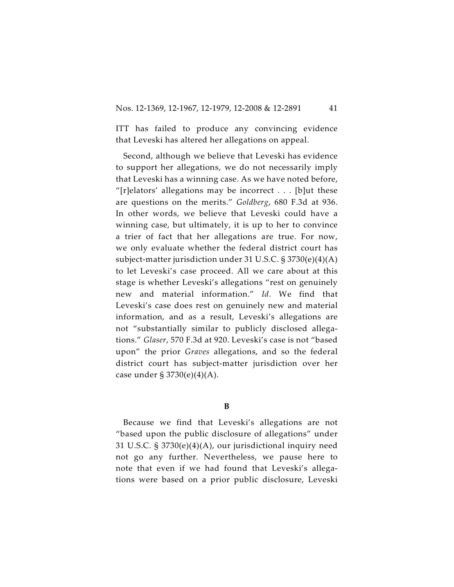ITT has failed to produce any convincing evidence that Leveski has altered her allegations on appeal.

Second, although we believe that Leveski has evidence to support her allegations, we do not necessarily imply that Leveski has a winning case. As we have noted before, "[r]elators' allegations may be incorrect  $\dots$  [b]ut these are questions on the merits." *Goldberg*, 680 F.3d at 936. In other words, we believe that Leveski could have a winning case, but ultimately, it is up to her to convince a trier of fact that her allegations are true. For now, we only evaluate whether the federal district court has subject-matter jurisdiction under 31 U.S.C. § 3730(e)(4)(A) to let Leveski's case proceed. All we care about at this stage is whether Leveski's allegations "rest on genuinely new and material information." *Id*. We find that Leveski's case does rest on genuinely new and material information, and as a result, Leveski's allegations are not "substantially similar to publicly disclosed allegations." *Glaser*, 570 F.3d at 920. Leveski's case is not "based upon" the prior *Graves* allegations, and so the federal district court has subject-matter jurisdiction over her case under § 3730(e)(4)(A).

#### **B**

Because we find that Leveski's allegations are not "based upon the public disclosure of allegations" under 31 U.S.C. § 3730(e)(4)(A), our jurisdictional inquiry need not go any further. Nevertheless, we pause here to note that even if we had found that Leveski's allegations were based on a prior public disclosure, Leveski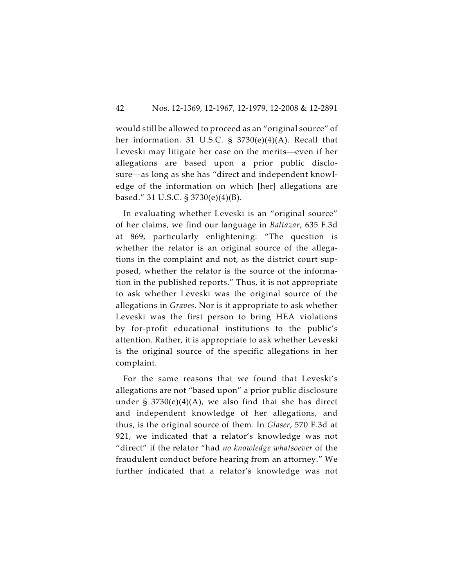would still be allowed to proceed as an "original source" of her information. 31 U.S.C. § 3730(e)(4)(A). Recall that Leveski may litigate her case on the merits—even if her allegations are based upon a prior public disclosure—as long as she has "direct and independent knowledge of the information on which [her] allegations are based." 31 U.S.C. § 3730(e)(4)(B).

In evaluating whether Leveski is an "original source" of her claims, we find our language in *Baltazar*, 635 F.3d at 869, particularly enlightening: "The question is whether the relator is an original source of the allegations in the complaint and not, as the district court supposed, whether the relator is the source of the information in the published reports." Thus, it is not appropriate to ask whether Leveski was the original source of the allegations in *Graves*. Nor is it appropriate to ask whether Leveski was the first person to bring HEA violations by for-profit educational institutions to the public's attention. Rather, it is appropriate to ask whether Leveski is the original source of the specific allegations in her complaint.

For the same reasons that we found that Leveski's allegations are not "based upon" a prior public disclosure under  $\S$  3730(e)(4)(A), we also find that she has direct and independent knowledge of her allegations, and thus, is the original source of them. In *Glaser*, 570 F.3d at 921, we indicated that a relator's knowledge was not "direct" if the relator "had *no knowledge whatsoever* of the fraudulent conduct before hearing from an attorney." We further indicated that a relator's knowledge was not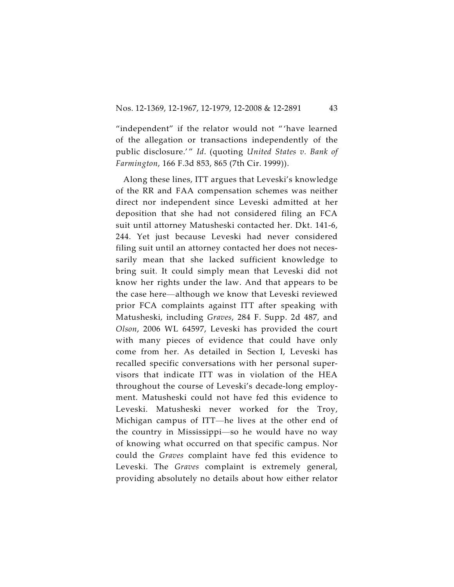"independent" if the relator would not " 'have learned of the allegation or transactions independently of the public disclosure.'" *Id.* (quoting *United States v. Bank of Farmington*, 166 F.3d 853, 865 (7th Cir. 1999)).

Along these lines, ITT argues that Leveski's knowledge of the RR and FAA compensation schemes was neither direct nor independent since Leveski admitted at her deposition that she had not considered filing an FCA suit until attorney Matusheski contacted her. Dkt. 141-6, 244. Yet just because Leveski had never considered filing suit until an attorney contacted her does not necessarily mean that she lacked sufficient knowledge to bring suit. It could simply mean that Leveski did not know her rights under the law. And that appears to be the case here—although we know that Leveski reviewed prior FCA complaints against ITT after speaking with Matusheski, including *Graves*, 284 F. Supp. 2d 487, and *Olson*, 2006 WL 64597, Leveski has provided the court with many pieces of evidence that could have only come from her. As detailed in Section I, Leveski has recalled specific conversations with her personal supervisors that indicate ITT was in violation of the HEA throughout the course of Leveski's decade-long employment. Matusheski could not have fed this evidence to Leveski. Matusheski never worked for the Troy, Michigan campus of ITT—he lives at the other end of the country in Mississippi—so he would have no way of knowing what occurred on that specific campus. Nor could the *Graves* complaint have fed this evidence to Leveski. The *Graves* complaint is extremely general, providing absolutely no details about how either relator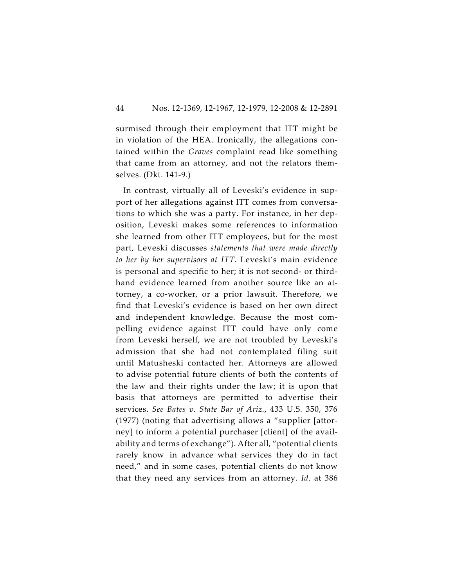surmised through their employment that ITT might be in violation of the HEA. Ironically, the allegations contained within the *Graves* complaint read like something that came from an attorney, and not the relators themselves. (Dkt. 141-9.)

In contrast, virtually all of Leveski's evidence in support of her allegations against ITT comes from conversations to which she was a party. For instance, in her deposition, Leveski makes some references to information she learned from other ITT employees, but for the most part, Leveski discusses *statements that were made directly to her by her supervisors at ITT*. Leveski's main evidence is personal and specific to her; it is not second- or thirdhand evidence learned from another source like an attorney, a co-worker, or a prior lawsuit. Therefore, we find that Leveski's evidence is based on her own direct and independent knowledge. Because the most compelling evidence against ITT could have only come from Leveski herself, we are not troubled by Leveski's admission that she had not contemplated filing suit until Matusheski contacted her. Attorneys are allowed to advise potential future clients of both the contents of the law and their rights under the law; it is upon that basis that attorneys are permitted to advertise their services. *See Bates v. State Bar of Ariz.*, 433 U.S. 350, 376 (1977) (noting that advertising allows a "supplier [attorney] to inform a potential purchaser [client] of the availability and terms of exchange"). After all, "potential clients rarely know in advance what services they do in fact need," and in some cases, potential clients do not know that they need any services from an attorney. *Id*. at 386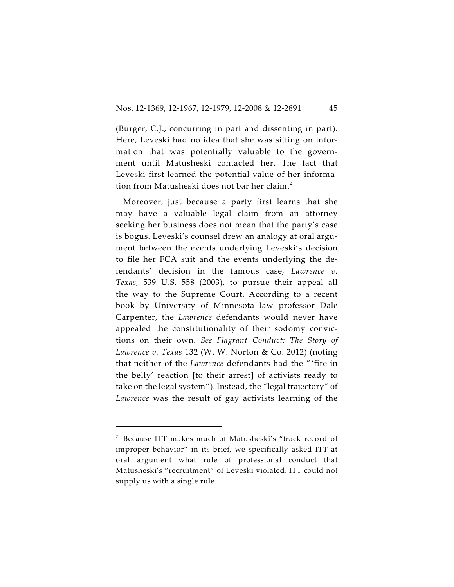(Burger, C.J., concurring in part and dissenting in part). Here, Leveski had no idea that she was sitting on information that was potentially valuable to the government until Matusheski contacted her. The fact that Leveski first learned the potential value of her information from Matusheski does not bar her claim.<sup>2</sup>

Moreover, just because a party first learns that she may have a valuable legal claim from an attorney seeking her business does not mean that the party's case is bogus. Leveski's counsel drew an analogy at oral argument between the events underlying Leveski's decision to file her FCA suit and the events underlying the defendants' decision in the famous case, *Lawrence v. Texas*, 539 U.S. 558 (2003), to pursue their appeal all the way to the Supreme Court. According to a recent book by University of Minnesota law professor Dale Carpenter, the *Lawrence* defendants would never have appealed the constitutionality of their sodomy convictions on their own. *See Flagrant Conduct: The Story of Lawrence v. Texas* 132 (W. W. Norton & Co. 2012) (noting that neither of the *Lawrence* defendants had the " 'fire in the belly' reaction [to their arrest] of activists ready to take on the legal system"). Instead, the "legal trajectory" of *Lawrence* was the result of gay activists learning of the

 $2$  Because ITT makes much of Matusheski's "track record of improper behavior" in its brief, we specifically asked ITT at oral argument what rule of professional conduct that Matusheski's "recruitment" of Leveski violated. ITT could not supply us with a single rule.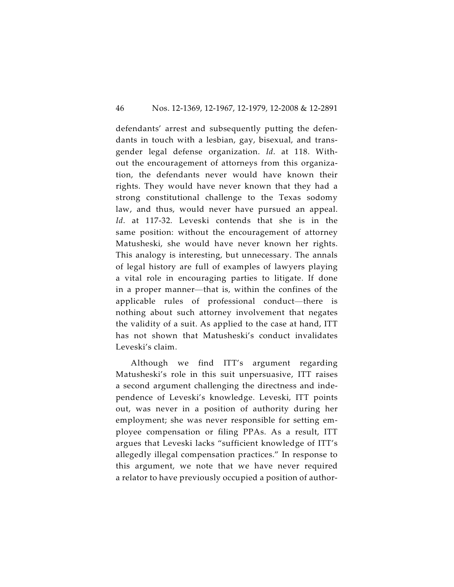defendants' arrest and subsequently putting the defendants in touch with a lesbian, gay, bisexual, and transgender legal defense organization. *Id*. at 118. Without the encouragement of attorneys from this organization, the defendants never would have known their rights. They would have never known that they had a strong constitutional challenge to the Texas sodomy law, and thus, would never have pursued an appeal. *Id*. at 117-32. Leveski contends that she is in the same position: without the encouragement of attorney Matusheski, she would have never known her rights. This analogy is interesting, but unnecessary. The annals of legal history are full of examples of lawyers playing a vital role in encouraging parties to litigate. If done in a proper manner—that is, within the confines of the applicable rules of professional conduct—there is nothing about such attorney involvement that negates the validity of a suit. As applied to the case at hand, ITT has not shown that Matusheski's conduct invalidates Leveski's claim.

Although we find ITT's argument regarding Matusheski's role in this suit unpersuasive, ITT raises a second argument challenging the directness and independence of Leveski's knowledge. Leveski, ITT points out, was never in a position of authority during her employment; she was never responsible for setting employee compensation or filing PPAs. As a result, ITT argues that Leveski lacks "sufficient knowledge of ITT's allegedly illegal compensation practices." In response to this argument, we note that we have never required a relator to have previously occupied a position of author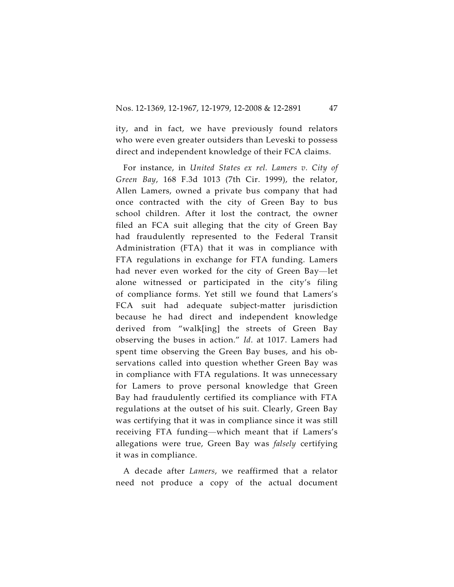ity, and in fact, we have previously found relators who were even greater outsiders than Leveski to possess direct and independent knowledge of their FCA claims.

For instance, in *United States ex rel. Lamers v. City of Green Bay*, 168 F.3d 1013 (7th Cir. 1999), the relator, Allen Lamers, owned a private bus company that had once contracted with the city of Green Bay to bus school children. After it lost the contract, the owner filed an FCA suit alleging that the city of Green Bay had fraudulently represented to the Federal Transit Administration (FTA) that it was in compliance with FTA regulations in exchange for FTA funding. Lamers had never even worked for the city of Green Bay—let alone witnessed or participated in the city's filing of compliance forms. Yet still we found that Lamers's FCA suit had adequate subject-matter jurisdiction because he had direct and independent knowledge derived from "walk[ing] the streets of Green Bay observing the buses in action." *Id*. at 1017. Lamers had spent time observing the Green Bay buses, and his observations called into question whether Green Bay was in compliance with FTA regulations. It was unnecessary for Lamers to prove personal knowledge that Green Bay had fraudulently certified its compliance with FTA regulations at the outset of his suit. Clearly, Green Bay was certifying that it was in compliance since it was still receiving FTA funding—which meant that if Lamers's allegations were true, Green Bay was *falsely* certifying it was in compliance.

A decade after *Lamers*, we reaffirmed that a relator need not produce a copy of the actual document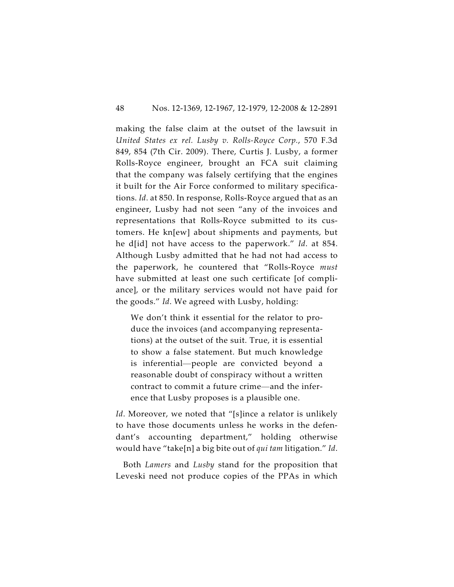making the false claim at the outset of the lawsuit in *United States ex rel. Lusby v. Rolls-Royce Corp.*, 570 F.3d 849, 854 (7th Cir. 2009). There, Curtis J. Lusby, a former Rolls-Royce engineer, brought an FCA suit claiming that the company was falsely certifying that the engines it built for the Air Force conformed to military specifications. *Id*. at 850. In response, Rolls-Royce argued that as an engineer, Lusby had not seen "any of the invoices and representations that Rolls-Royce submitted to its customers. He kn[ew] about shipments and payments, but he d[id] not have access to the paperwork." *Id*. at 854. Although Lusby admitted that he had not had access to the paperwork, he countered that "Rolls-Royce *must* have submitted at least one such certificate [of compliance], or the military services would not have paid for the goods." *Id*. We agreed with Lusby, holding:

We don't think it essential for the relator to produce the invoices (and accompanying representations) at the outset of the suit. True, it is essential to show a false statement. But much knowledge is inferential—people are convicted beyond a reasonable doubt of conspiracy without a written contract to commit a future crime—and the inference that Lusby proposes is a plausible one.

*Id*. Moreover, we noted that "[s]ince a relator is unlikely to have those documents unless he works in the defendant's accounting department," holding otherwise would have "take[n] a big bite out of *qui tam* litigation." *Id*.

Both *Lamers* and *Lusby* stand for the proposition that Leveski need not produce copies of the PPAs in which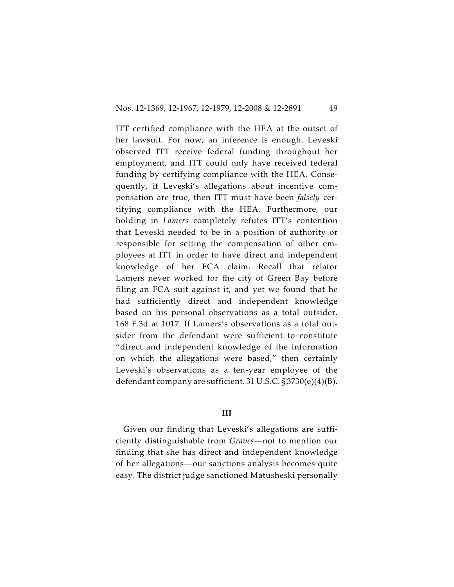ITT certified compliance with the HEA at the outset of her lawsuit. For now, an inference is enough. Leveski observed ITT receive federal funding throughout her employment, and ITT could only have received federal funding by certifying compliance with the HEA. Consequently, if Leveski's allegations about incentive compensation are true, then ITT must have been *falsely* certifying compliance with the HEA. Furthermore, our holding in *Lamers* completely refutes ITT's contention that Leveski needed to be in a position of authority or responsible for setting the compensation of other employees at ITT in order to have direct and independent knowledge of her FCA claim. Recall that relator Lamers never worked for the city of Green Bay before filing an FCA suit against it, and yet we found that he had sufficiently direct and independent knowledge based on his personal observations as a total outsider. 168 F.3d at 1017. If Lamers's observations as a total outsider from the defendant were sufficient to constitute "direct and independent knowledge of the information on which the allegations were based," then certainly Leveski's observations as a ten-year employee of the defendant company are sufficient. 31 U.S.C. § 3730(e)(4)(B).

#### **III**

Given our finding that Leveski's allegations are sufficiently distinguishable from *Graves*—not to mention our finding that she has direct and independent knowledge of her allegations—our sanctions analysis becomes quite easy. The district judge sanctioned Matusheski personally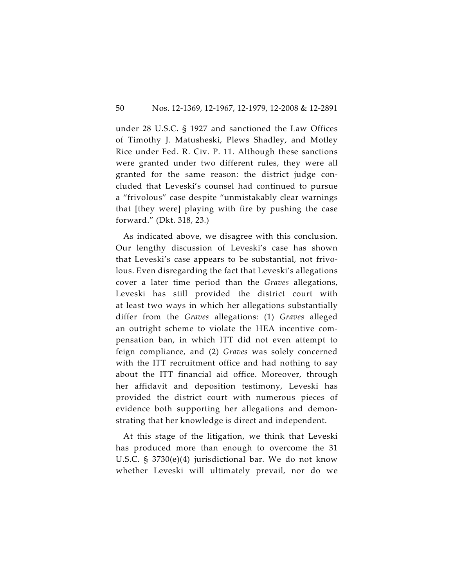under 28 U.S.C. § 1927 and sanctioned the Law Offices of Timothy J. Matusheski, Plews Shadley, and Motley Rice under Fed. R. Civ. P. 11. Although these sanctions were granted under two different rules, they were all granted for the same reason: the district judge concluded that Leveski's counsel had continued to pursue a "frivolous" case despite "unmistakably clear warnings that [they were] playing with fire by pushing the case forward." (Dkt. 318, 23.)

As indicated above, we disagree with this conclusion. Our lengthy discussion of Leveski's case has shown that Leveski's case appears to be substantial, not frivolous. Even disregarding the fact that Leveski's allegations cover a later time period than the *Graves* allegations, Leveski has still provided the district court with at least two ways in which her allegations substantially differ from the *Graves* allegations: (1) *Graves* alleged an outright scheme to violate the HEA incentive compensation ban, in which ITT did not even attempt to feign compliance, and (2) *Graves* was solely concerned with the ITT recruitment office and had nothing to say about the ITT financial aid office. Moreover, through her affidavit and deposition testimony, Leveski has provided the district court with numerous pieces of evidence both supporting her allegations and demonstrating that her knowledge is direct and independent.

At this stage of the litigation, we think that Leveski has produced more than enough to overcome the 31 U.S.C. § 3730(e)(4) jurisdictional bar. We do not know whether Leveski will ultimately prevail, nor do we